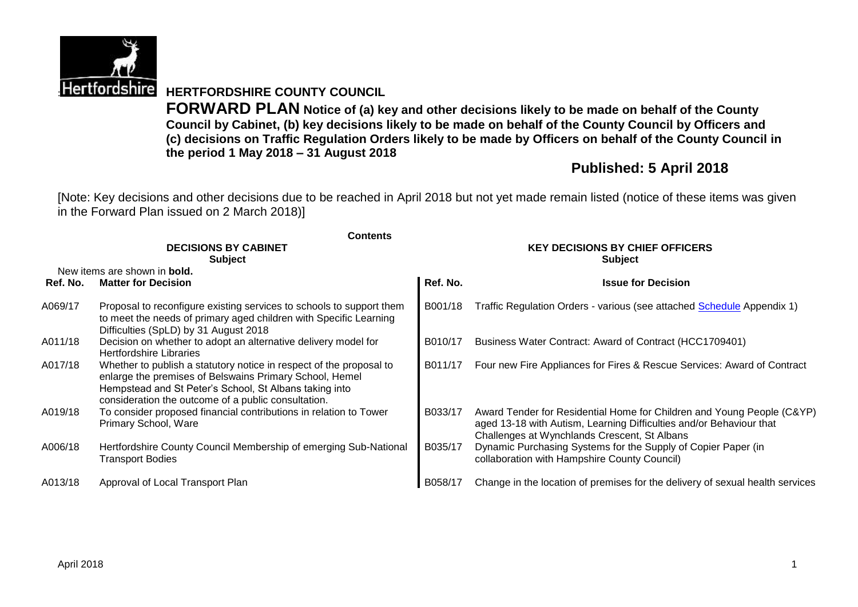

**Hertfordshire HERTFORDSHIRE COUNTY COUNCIL** 

**FORWARD PLAN Notice of (a) key and other decisions likely to be made on behalf of the County Council by Cabinet, (b) key decisions likely to be made on behalf of the County Council by Officers and (c) decisions on Traffic Regulation Orders likely to be made by Officers on behalf of the County Council in the period 1 May 2018 – 31 August 2018**

## **Published: 5 April 2018**

[Note: Key decisions and other decisions due to be reached in April 2018 but not yet made remain listed (notice of these items was given in the Forward Plan issued on 2 March 2018)]

|          | <b>Contents</b><br><b>DECISIONS BY CABINET</b><br><b>Subject</b>                                                                                                                                                                                | <b>KEY DECISIONS BY CHIEF OFFICERS</b><br><b>Subject</b> |                                                                                                                                                                                               |  |  |
|----------|-------------------------------------------------------------------------------------------------------------------------------------------------------------------------------------------------------------------------------------------------|----------------------------------------------------------|-----------------------------------------------------------------------------------------------------------------------------------------------------------------------------------------------|--|--|
|          | New items are shown in bold.                                                                                                                                                                                                                    |                                                          |                                                                                                                                                                                               |  |  |
| Ref. No. | <b>Matter for Decision</b>                                                                                                                                                                                                                      | Ref. No.                                                 | <b>Issue for Decision</b>                                                                                                                                                                     |  |  |
| A069/17  | Proposal to reconfigure existing services to schools to support them<br>to meet the needs of primary aged children with Specific Learning<br>Difficulties (SpLD) by 31 August 2018                                                              | B001/18                                                  | Traffic Regulation Orders - various (see attached <b>Schedule</b> Appendix 1)                                                                                                                 |  |  |
| A011/18  | Decision on whether to adopt an alternative delivery model for<br><b>Hertfordshire Libraries</b>                                                                                                                                                | B010/17                                                  | Business Water Contract: Award of Contract (HCC1709401)                                                                                                                                       |  |  |
| A017/18  | Whether to publish a statutory notice in respect of the proposal to<br>enlarge the premises of Belswains Primary School, Hemel<br>Hempstead and St Peter's School, St Albans taking into<br>consideration the outcome of a public consultation. | B011/17                                                  | Four new Fire Appliances for Fires & Rescue Services: Award of Contract                                                                                                                       |  |  |
| A019/18  | To consider proposed financial contributions in relation to Tower<br>Primary School, Ware                                                                                                                                                       | B033/17                                                  | Award Tender for Residential Home for Children and Young People (C&YP)<br>aged 13-18 with Autism, Learning Difficulties and/or Behaviour that<br>Challenges at Wynchlands Crescent, St Albans |  |  |
| A006/18  | Hertfordshire County Council Membership of emerging Sub-National<br><b>Transport Bodies</b>                                                                                                                                                     | B035/17                                                  | Dynamic Purchasing Systems for the Supply of Copier Paper (in<br>collaboration with Hampshire County Council)                                                                                 |  |  |
| A013/18  | Approval of Local Transport Plan                                                                                                                                                                                                                | B058/17                                                  | Change in the location of premises for the delivery of sexual health services                                                                                                                 |  |  |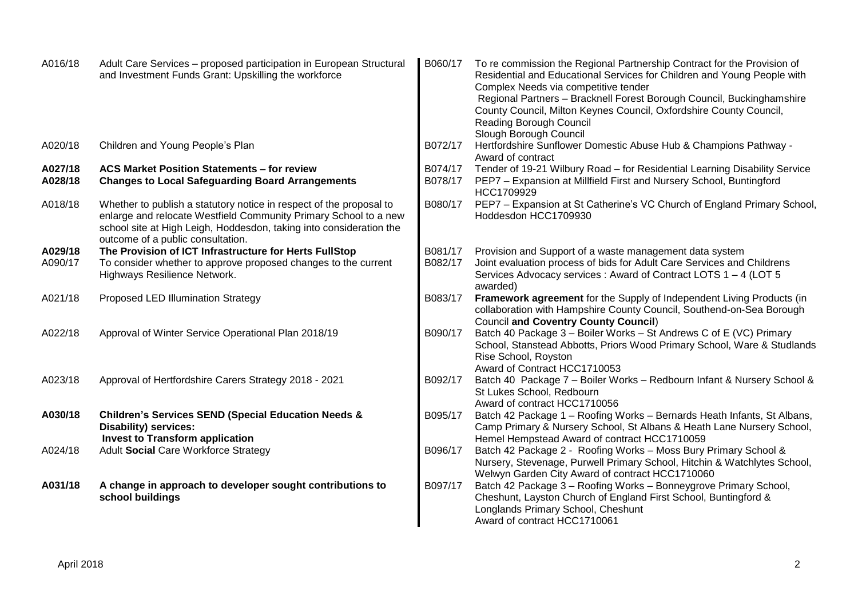| A016/18 | Adult Care Services - proposed participation in European Structural<br>and Investment Funds Grant: Upskilling the workforce                                                  | B060/17 | To re commission the Regional Partnership Contract for the Provision of<br>Residential and Educational Services for Children and Young People with<br>Complex Needs via competitive tender   |
|---------|------------------------------------------------------------------------------------------------------------------------------------------------------------------------------|---------|----------------------------------------------------------------------------------------------------------------------------------------------------------------------------------------------|
|         |                                                                                                                                                                              |         | Regional Partners - Bracknell Forest Borough Council, Buckinghamshire<br>County Council, Milton Keynes Council, Oxfordshire County Council,<br><b>Reading Borough Council</b>                |
|         |                                                                                                                                                                              |         | Slough Borough Council                                                                                                                                                                       |
| A020/18 | Children and Young People's Plan                                                                                                                                             | B072/17 | Hertfordshire Sunflower Domestic Abuse Hub & Champions Pathway -<br>Award of contract                                                                                                        |
| A027/18 | <b>ACS Market Position Statements - for review</b>                                                                                                                           | B074/17 | Tender of 19-21 Wilbury Road - for Residential Learning Disability Service                                                                                                                   |
| A028/18 | <b>Changes to Local Safeguarding Board Arrangements</b>                                                                                                                      | B078/17 | PEP7 - Expansion at Millfield First and Nursery School, Buntingford<br>HCC1709929                                                                                                            |
| A018/18 | Whether to publish a statutory notice in respect of the proposal to                                                                                                          | B080/17 | PEP7 - Expansion at St Catherine's VC Church of England Primary School,                                                                                                                      |
|         | enlarge and relocate Westfield Community Primary School to a new<br>school site at High Leigh, Hoddesdon, taking into consideration the<br>outcome of a public consultation. |         | Hoddesdon HCC1709930                                                                                                                                                                         |
| A029/18 | The Provision of ICT Infrastructure for Herts FullStop                                                                                                                       | B081/17 | Provision and Support of a waste management data system                                                                                                                                      |
| A090/17 | To consider whether to approve proposed changes to the current                                                                                                               | B082/17 | Joint evaluation process of bids for Adult Care Services and Childrens                                                                                                                       |
|         | Highways Resilience Network.                                                                                                                                                 |         | Services Advocacy services : Award of Contract LOTS 1 - 4 (LOT 5                                                                                                                             |
|         |                                                                                                                                                                              |         | awarded)                                                                                                                                                                                     |
| A021/18 | Proposed LED Illumination Strategy                                                                                                                                           | B083/17 | Framework agreement for the Supply of Independent Living Products (in<br>collaboration with Hampshire County Council, Southend-on-Sea Borough<br><b>Council and Coventry County Council)</b> |
| A022/18 | Approval of Winter Service Operational Plan 2018/19                                                                                                                          | B090/17 | Batch 40 Package 3 - Boiler Works - St Andrews C of E (VC) Primary                                                                                                                           |
|         |                                                                                                                                                                              |         | School, Stanstead Abbotts, Priors Wood Primary School, Ware & Studlands<br>Rise School, Royston                                                                                              |
|         |                                                                                                                                                                              |         | Award of Contract HCC1710053                                                                                                                                                                 |
| A023/18 | Approval of Hertfordshire Carers Strategy 2018 - 2021                                                                                                                        | B092/17 | Batch 40 Package 7 - Boiler Works - Redbourn Infant & Nursery School &                                                                                                                       |
|         |                                                                                                                                                                              |         | St Lukes School, Redbourn                                                                                                                                                                    |
|         |                                                                                                                                                                              |         | Award of contract HCC1710056                                                                                                                                                                 |
| A030/18 | <b>Children's Services SEND (Special Education Needs &amp;</b>                                                                                                               | B095/17 | Batch 42 Package 1 - Roofing Works - Bernards Heath Infants, St Albans,                                                                                                                      |
|         | <b>Disability) services:</b>                                                                                                                                                 |         | Camp Primary & Nursery School, St Albans & Heath Lane Nursery School,                                                                                                                        |
| A024/18 | <b>Invest to Transform application</b><br>Adult Social Care Workforce Strategy                                                                                               | B096/17 | Hemel Hempstead Award of contract HCC1710059<br>Batch 42 Package 2 - Roofing Works - Moss Bury Primary School &                                                                              |
|         |                                                                                                                                                                              |         | Nursery, Stevenage, Purwell Primary School, Hitchin & Watchlytes School,                                                                                                                     |
|         |                                                                                                                                                                              |         | Welwyn Garden City Award of contract HCC1710060                                                                                                                                              |
| A031/18 | A change in approach to developer sought contributions to                                                                                                                    | B097/17 | Batch 42 Package 3 - Roofing Works - Bonneygrove Primary School,                                                                                                                             |
|         | school buildings                                                                                                                                                             |         | Cheshunt, Layston Church of England First School, Buntingford &                                                                                                                              |
|         |                                                                                                                                                                              |         | Longlands Primary School, Cheshunt                                                                                                                                                           |
|         |                                                                                                                                                                              |         | Award of contract HCC1710061                                                                                                                                                                 |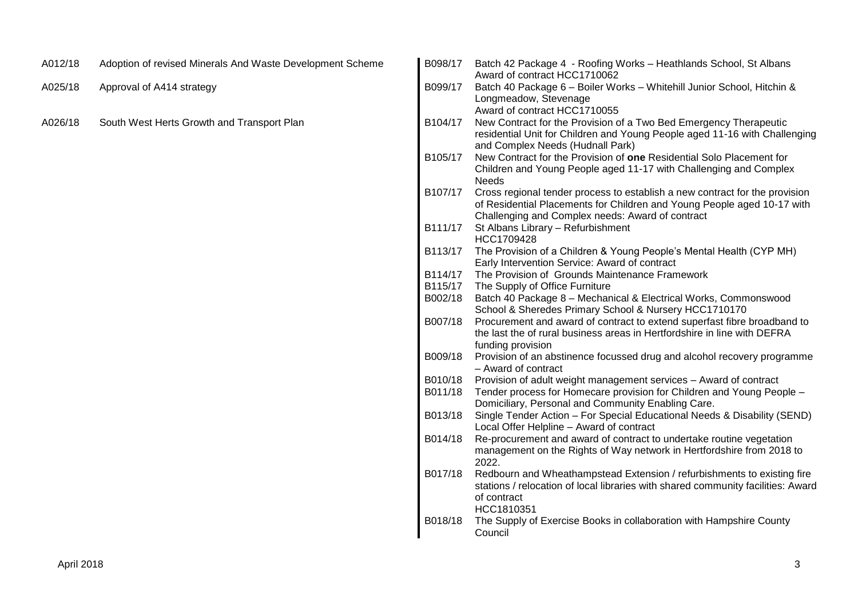| A012/18 | Adoption of revised Minerals And Waste Development Scheme | B098/17 | Batch 42 Package 4 - Roofing Works - Heathlands School, St Albans                                                        |
|---------|-----------------------------------------------------------|---------|--------------------------------------------------------------------------------------------------------------------------|
| A025/18 | Approval of A414 strategy                                 | B099/17 | Award of contract HCC1710062<br>Batch 40 Package 6 - Boiler Works - Whitehill Junior School, Hitchin &                   |
|         |                                                           |         | Longmeadow, Stevenage                                                                                                    |
|         |                                                           |         | Award of contract HCC1710055                                                                                             |
| A026/18 | South West Herts Growth and Transport Plan                | B104/17 | New Contract for the Provision of a Two Bed Emergency Therapeutic                                                        |
|         |                                                           |         | residential Unit for Children and Young People aged 11-16 with Challenging                                               |
|         |                                                           |         | and Complex Needs (Hudnall Park)                                                                                         |
|         |                                                           | B105/17 | New Contract for the Provision of one Residential Solo Placement for                                                     |
|         |                                                           |         | Children and Young People aged 11-17 with Challenging and Complex                                                        |
|         |                                                           |         | Needs                                                                                                                    |
|         |                                                           | B107/17 | Cross regional tender process to establish a new contract for the provision                                              |
|         |                                                           |         | of Residential Placements for Children and Young People aged 10-17 with                                                  |
|         |                                                           |         | Challenging and Complex needs: Award of contract                                                                         |
|         |                                                           | B111/17 | St Albans Library - Refurbishment                                                                                        |
|         |                                                           |         | HCC1709428                                                                                                               |
|         |                                                           | B113/17 | The Provision of a Children & Young People's Mental Health (CYP MH)                                                      |
|         |                                                           |         | Early Intervention Service: Award of contract                                                                            |
|         |                                                           | B114/17 | The Provision of Grounds Maintenance Framework                                                                           |
|         |                                                           | B115/17 | The Supply of Office Furniture                                                                                           |
|         |                                                           | B002/18 | Batch 40 Package 8 - Mechanical & Electrical Works, Commonswood<br>School & Sheredes Primary School & Nursery HCC1710170 |
|         |                                                           | B007/18 | Procurement and award of contract to extend superfast fibre broadband to                                                 |
|         |                                                           |         | the last the of rural business areas in Hertfordshire in line with DEFRA                                                 |
|         |                                                           |         | funding provision                                                                                                        |
|         |                                                           | B009/18 | Provision of an abstinence focussed drug and alcohol recovery programme                                                  |
|         |                                                           |         | - Award of contract                                                                                                      |
|         |                                                           | B010/18 | Provision of adult weight management services - Award of contract                                                        |
|         |                                                           | B011/18 | Tender process for Homecare provision for Children and Young People -                                                    |
|         |                                                           |         | Domiciliary, Personal and Community Enabling Care.                                                                       |
|         |                                                           | B013/18 | Single Tender Action - For Special Educational Needs & Disability (SEND)                                                 |
|         |                                                           |         | Local Offer Helpline - Award of contract                                                                                 |
|         |                                                           | B014/18 | Re-procurement and award of contract to undertake routine vegetation                                                     |
|         |                                                           |         | management on the Rights of Way network in Hertfordshire from 2018 to                                                    |
|         |                                                           |         | 2022.                                                                                                                    |
|         |                                                           | B017/18 | Redbourn and Wheathampstead Extension / refurbishments to existing fire                                                  |
|         |                                                           |         | stations / relocation of local libraries with shared community facilities: Award                                         |
|         |                                                           |         | of contract<br>HCC1810351                                                                                                |
|         |                                                           | B018/18 | The Supply of Exercise Books in collaboration with Hampshire County                                                      |
|         |                                                           |         | Council                                                                                                                  |
|         |                                                           |         |                                                                                                                          |
|         |                                                           |         |                                                                                                                          |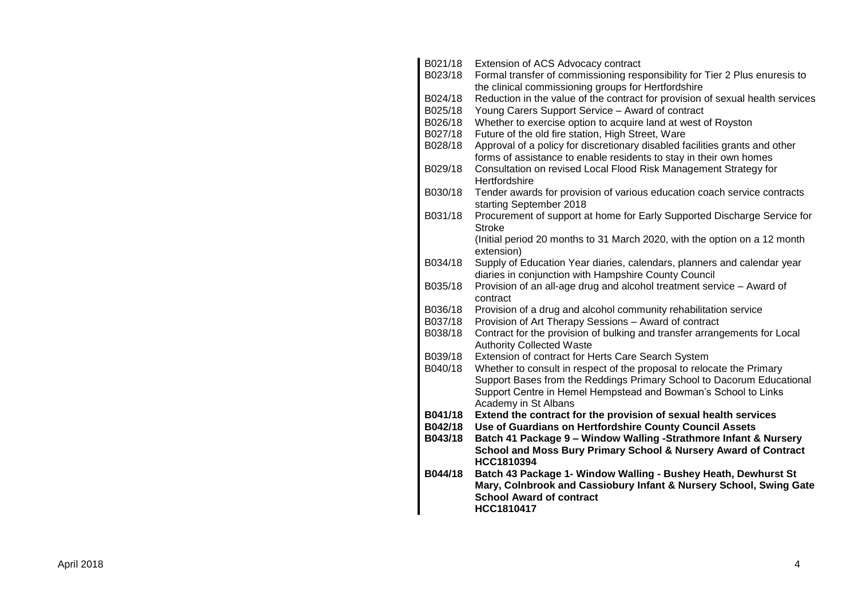| B021/18 | Extension of ACS Advocacy contract                                                                                                                                                                                                       |
|---------|------------------------------------------------------------------------------------------------------------------------------------------------------------------------------------------------------------------------------------------|
| B023/18 | Formal transfer of commissioning responsibility for Tier 2 Plus enuresis to                                                                                                                                                              |
|         | the clinical commissioning groups for Hertfordshire                                                                                                                                                                                      |
| B024/18 | Reduction in the value of the contract for provision of sexual health services                                                                                                                                                           |
| B025/18 | Young Carers Support Service - Award of contract                                                                                                                                                                                         |
| B026/18 | Whether to exercise option to acquire land at west of Royston                                                                                                                                                                            |
| B027/18 | Future of the old fire station, High Street, Ware                                                                                                                                                                                        |
| B028/18 | Approval of a policy for discretionary disabled facilities grants and other<br>forms of assistance to enable residents to stay in their own homes                                                                                        |
| B029/18 | Consultation on revised Local Flood Risk Management Strategy for<br>Hertfordshire                                                                                                                                                        |
| B030/18 | Tender awards for provision of various education coach service contracts<br>starting September 2018                                                                                                                                      |
| B031/18 | Procurement of support at home for Early Supported Discharge Service for<br><b>Stroke</b>                                                                                                                                                |
|         | (Initial period 20 months to 31 March 2020, with the option on a 12 month<br>extension)                                                                                                                                                  |
| B034/18 | Supply of Education Year diaries, calendars, planners and calendar year<br>diaries in conjunction with Hampshire County Council                                                                                                          |
| B035/18 | Provision of an all-age drug and alcohol treatment service - Award of<br>contract                                                                                                                                                        |
| B036/18 | Provision of a drug and alcohol community rehabilitation service                                                                                                                                                                         |
| B037/18 | Provision of Art Therapy Sessions - Award of contract                                                                                                                                                                                    |
| B038/18 | Contract for the provision of bulking and transfer arrangements for Local<br><b>Authority Collected Waste</b>                                                                                                                            |
| B039/18 | Extension of contract for Herts Care Search System                                                                                                                                                                                       |
| B040/18 | Whether to consult in respect of the proposal to relocate the Primary<br>Support Bases from the Reddings Primary School to Dacorum Educational<br>Support Centre in Hemel Hempstead and Bowman's School to Links<br>Academy in St Albans |
| B041/18 | Extend the contract for the provision of sexual health services                                                                                                                                                                          |
| B042/18 | Use of Guardians on Hertfordshire County Council Assets                                                                                                                                                                                  |
| B043/18 | Batch 41 Package 9 - Window Walling -Strathmore Infant & Nursery                                                                                                                                                                         |
|         | School and Moss Bury Primary School & Nursery Award of Contract                                                                                                                                                                          |
|         | HCC1810394                                                                                                                                                                                                                               |
| B044/18 | Batch 43 Package 1- Window Walling - Bushey Heath, Dewhurst St<br>Mary, Colnbrook and Cassiobury Infant & Nursery School, Swing Gate<br><b>School Award of contract</b><br>HCC1810417                                                    |
|         |                                                                                                                                                                                                                                          |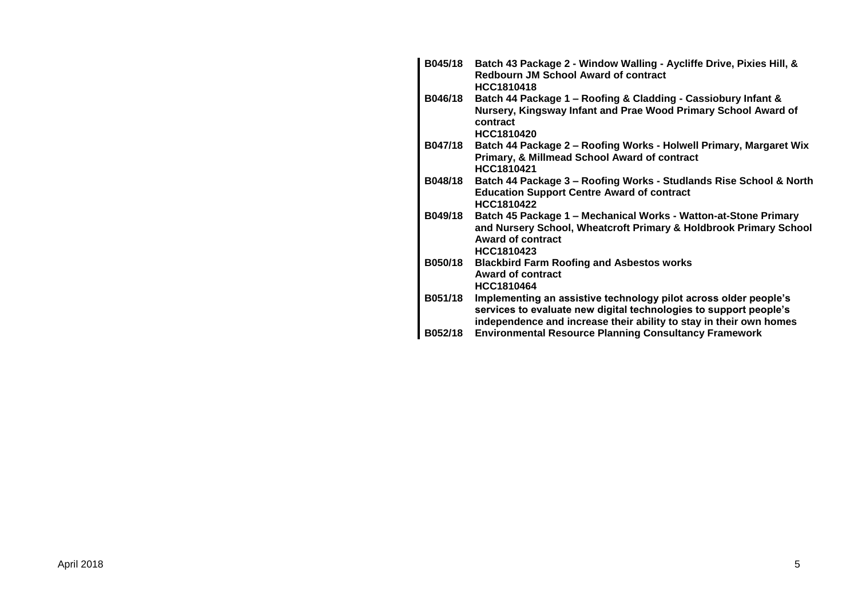| B045/18        | Batch 43 Package 2 - Window Walling - Aycliffe Drive, Pixies Hill, &<br><b>Redbourn JM School Award of contract</b> |
|----------------|---------------------------------------------------------------------------------------------------------------------|
|                | HCC1810418                                                                                                          |
| B046/18        | Batch 44 Package 1 – Roofing & Cladding - Cassiobury Infant &                                                       |
|                | Nursery, Kingsway Infant and Prae Wood Primary School Award of<br>contract                                          |
|                | HCC1810420                                                                                                          |
| <b>B047/18</b> | Batch 44 Package 2 – Roofing Works - Holwell Primary, Margaret Wix                                                  |
|                | Primary, & Millmead School Award of contract<br>HCC1810421                                                          |
| B048/18        | Batch 44 Package 3 - Roofing Works - Studlands Rise School & North                                                  |
|                | <b>Education Support Centre Award of contract</b>                                                                   |
|                | HCC1810422                                                                                                          |
| B049/18        | Batch 45 Package 1 - Mechanical Works - Watton-at-Stone Primary                                                     |
|                | and Nursery School, Wheatcroft Primary & Holdbrook Primary School                                                   |
|                | <b>Award of contract</b>                                                                                            |
|                | HCC1810423                                                                                                          |
| B050/18        | <b>Blackbird Farm Roofing and Asbestos works</b>                                                                    |
|                | <b>Award of contract</b>                                                                                            |
|                | <b>HCC1810464</b>                                                                                                   |
| B051/18        | Implementing an assistive technology pilot across older people's                                                    |
|                | services to evaluate new digital technologies to support people's                                                   |
|                | independence and increase their ability to stay in their own homes                                                  |
| B052/18        | <b>Environmental Resource Planning Consultancy Framework</b>                                                        |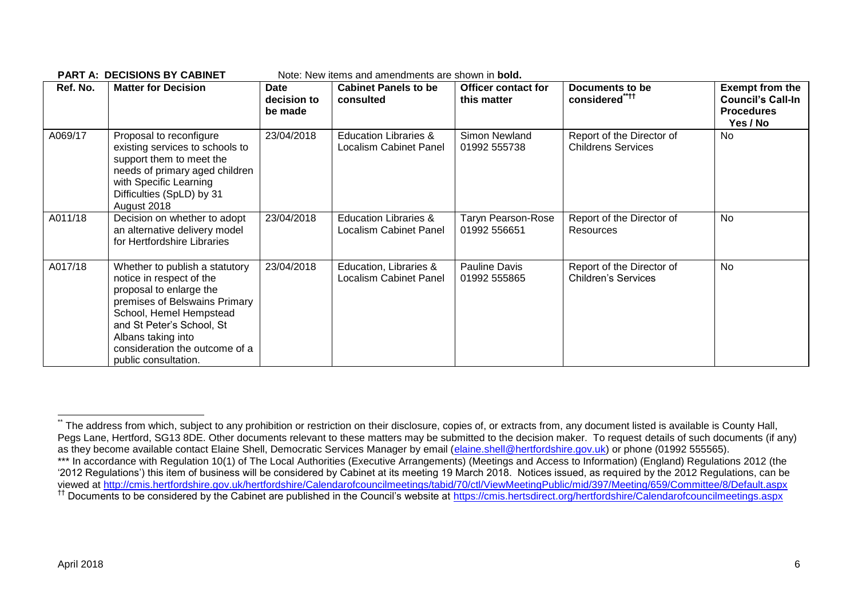| Ref. No. | <b>Matter for Decision</b>                                                                                                                                                                                                                                     | <b>Date</b><br>decision to<br>be made | <b>Cabinet Panels to be</b><br>consulted                | <b>Officer contact for</b><br>this matter | Documents to be<br>considered****                       | <b>Exempt from the</b><br><b>Council's Call-In</b><br><b>Procedures</b><br>Yes / No |
|----------|----------------------------------------------------------------------------------------------------------------------------------------------------------------------------------------------------------------------------------------------------------------|---------------------------------------|---------------------------------------------------------|-------------------------------------------|---------------------------------------------------------|-------------------------------------------------------------------------------------|
| A069/17  | Proposal to reconfigure<br>existing services to schools to<br>support them to meet the<br>needs of primary aged children<br>with Specific Learning<br>Difficulties (SpLD) by 31<br>August 2018                                                                 | 23/04/2018                            | Education Libraries &<br><b>Localism Cabinet Panel</b>  | Simon Newland<br>01992 555738             | Report of the Director of<br><b>Childrens Services</b>  | No                                                                                  |
| A011/18  | Decision on whether to adopt<br>an alternative delivery model<br>for Hertfordshire Libraries                                                                                                                                                                   | 23/04/2018                            | Education Libraries &<br><b>Localism Cabinet Panel</b>  | <b>Taryn Pearson-Rose</b><br>01992 556651 | Report of the Director of<br>Resources                  | No                                                                                  |
| A017/18  | Whether to publish a statutory<br>notice in respect of the<br>proposal to enlarge the<br>premises of Belswains Primary<br>School, Hemel Hempstead<br>and St Peter's School, St<br>Albans taking into<br>consideration the outcome of a<br>public consultation. | 23/04/2018                            | Education, Libraries &<br><b>Localism Cabinet Panel</b> | <b>Pauline Davis</b><br>01992 555865      | Report of the Director of<br><b>Children's Services</b> | <b>No</b>                                                                           |

**PART A: DECISIONS BY CABINET** Note: New items and amendments are shown in **bold.**

1

The address from which, subject to any prohibition or restriction on their disclosure, copies of, or extracts from, any document listed is available is County Hall, Pegs Lane, Hertford, SG13 8DE. Other documents relevant to these matters may be submitted to the decision maker. To request details of such documents (if any) as they become available contact Elaine Shell, Democratic Services Manager by email [\(elaine.shell@hertfordshire.gov.uk\)](mailto:elaine.shell@hertfordshire.gov.uk) or phone (01992 555565). \*\*\* In accordance with Regulation 10(1) of The Local Authorities (Executive Arrangements) (Meetings and Access to Information) (England) Regulations 2012 (the '2012 Regulations') this item of business will be considered by Cabinet at its meeting 19 March 2018. Notices issued, as required by the 2012 Regulations, can be viewed at<http://cmis.hertfordshire.gov.uk/hertfordshire/Calendarofcouncilmeetings/tabid/70/ctl/ViewMeetingPublic/mid/397/Meeting/659/Committee/8/Default.aspx> <sup>††</sup> Documents to be considered by the Cabinet are published in the Council's website at<https://cmis.hertsdirect.org/hertfordshire/Calendarofcouncilmeetings.aspx>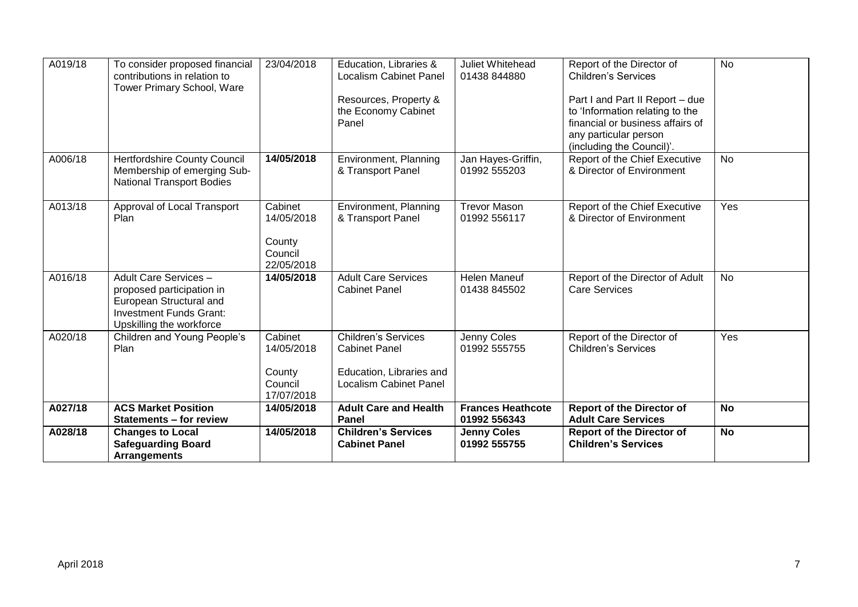| A019/18 | To consider proposed financial<br>contributions in relation to<br>Tower Primary School, Ware                                                | 23/04/2018                                               | Education, Libraries &<br><b>Localism Cabinet Panel</b>                                                         | Juliet Whitehead<br>01438 844880         | Report of the Director of<br><b>Children's Services</b>                                                                                                      | <b>No</b>       |
|---------|---------------------------------------------------------------------------------------------------------------------------------------------|----------------------------------------------------------|-----------------------------------------------------------------------------------------------------------------|------------------------------------------|--------------------------------------------------------------------------------------------------------------------------------------------------------------|-----------------|
|         |                                                                                                                                             |                                                          | Resources, Property &<br>the Economy Cabinet<br>Panel                                                           |                                          | Part I and Part II Report - due<br>to 'Information relating to the<br>financial or business affairs of<br>any particular person<br>(including the Council)'. |                 |
| A006/18 | Hertfordshire County Council<br>Membership of emerging Sub-<br><b>National Transport Bodies</b>                                             | 14/05/2018                                               | Environment, Planning<br>& Transport Panel                                                                      | Jan Hayes-Griffin,<br>01992 555203       | Report of the Chief Executive<br>& Director of Environment                                                                                                   | $\overline{No}$ |
| A013/18 | Approval of Local Transport<br>Plan                                                                                                         | Cabinet<br>14/05/2018<br>County<br>Council<br>22/05/2018 | Environment, Planning<br>& Transport Panel                                                                      | <b>Trevor Mason</b><br>01992 556117      | Report of the Chief Executive<br>& Director of Environment                                                                                                   | Yes             |
| A016/18 | Adult Care Services -<br>proposed participation in<br>European Structural and<br><b>Investment Funds Grant:</b><br>Upskilling the workforce | 14/05/2018                                               | <b>Adult Care Services</b><br><b>Cabinet Panel</b>                                                              | <b>Helen Maneuf</b><br>01438 845502      | Report of the Director of Adult<br><b>Care Services</b>                                                                                                      | <b>No</b>       |
| A020/18 | Children and Young People's<br>Plan                                                                                                         | Cabinet<br>14/05/2018<br>County<br>Council<br>17/07/2018 | <b>Children's Services</b><br><b>Cabinet Panel</b><br>Education, Libraries and<br><b>Localism Cabinet Panel</b> | Jenny Coles<br>01992 555755              | Report of the Director of<br><b>Children's Services</b>                                                                                                      | Yes             |
| A027/18 | <b>ACS Market Position</b><br><b>Statements - for review</b>                                                                                | 14/05/2018                                               | <b>Adult Care and Health</b><br><b>Panel</b>                                                                    | <b>Frances Heathcote</b><br>01992 556343 | <b>Report of the Director of</b><br><b>Adult Care Services</b>                                                                                               | <b>No</b>       |
| A028/18 | <b>Changes to Local</b><br><b>Safeguarding Board</b><br><b>Arrangements</b>                                                                 | 14/05/2018                                               | <b>Children's Services</b><br><b>Cabinet Panel</b>                                                              | <b>Jenny Coles</b><br>01992 555755       | <b>Report of the Director of</b><br><b>Children's Services</b>                                                                                               | <b>No</b>       |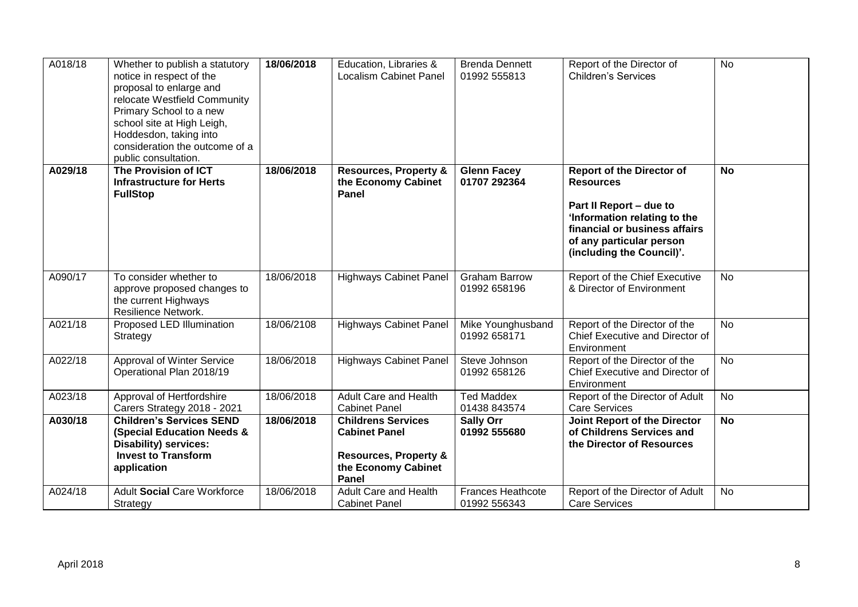| A018/18 | Whether to publish a statutory<br>notice in respect of the<br>proposal to enlarge and<br>relocate Westfield Community<br>Primary School to a new<br>school site at High Leigh,<br>Hoddesdon, taking into<br>consideration the outcome of a<br>public consultation. | 18/06/2018 | Education, Libraries &<br>Localism Cabinet Panel                                                                      | <b>Brenda Dennett</b><br>01992 555813    | Report of the Director of<br><b>Children's Services</b>                                                                                                                                                   | <b>No</b> |
|---------|--------------------------------------------------------------------------------------------------------------------------------------------------------------------------------------------------------------------------------------------------------------------|------------|-----------------------------------------------------------------------------------------------------------------------|------------------------------------------|-----------------------------------------------------------------------------------------------------------------------------------------------------------------------------------------------------------|-----------|
| A029/18 | The Provision of ICT<br><b>Infrastructure for Herts</b><br><b>FullStop</b>                                                                                                                                                                                         | 18/06/2018 | <b>Resources, Property &amp;</b><br>the Economy Cabinet<br><b>Panel</b>                                               | <b>Glenn Facey</b><br>01707 292364       | <b>Report of the Director of</b><br><b>Resources</b><br>Part II Report - due to<br>'Information relating to the<br>financial or business affairs<br>of any particular person<br>(including the Council)'. | <b>No</b> |
| A090/17 | To consider whether to<br>approve proposed changes to<br>the current Highways<br>Resilience Network.                                                                                                                                                               | 18/06/2018 | <b>Highways Cabinet Panel</b>                                                                                         | <b>Graham Barrow</b><br>01992 658196     | Report of the Chief Executive<br>& Director of Environment                                                                                                                                                | <b>No</b> |
| A021/18 | Proposed LED Illumination<br>Strategy                                                                                                                                                                                                                              | 18/06/2108 | <b>Highways Cabinet Panel</b>                                                                                         | Mike Younghusband<br>01992 658171        | Report of the Director of the<br>Chief Executive and Director of<br>Environment                                                                                                                           | <b>No</b> |
| A022/18 | Approval of Winter Service<br>Operational Plan 2018/19                                                                                                                                                                                                             | 18/06/2018 | <b>Highways Cabinet Panel</b>                                                                                         | Steve Johnson<br>01992 658126            | Report of the Director of the<br>Chief Executive and Director of<br>Environment                                                                                                                           | <b>No</b> |
| A023/18 | Approval of Hertfordshire<br>Carers Strategy 2018 - 2021                                                                                                                                                                                                           | 18/06/2018 | <b>Adult Care and Health</b><br><b>Cabinet Panel</b>                                                                  | Ted Maddex<br>01438 843574               | Report of the Director of Adult<br><b>Care Services</b>                                                                                                                                                   | <b>No</b> |
| A030/18 | <b>Children's Services SEND</b><br><b>(Special Education Needs &amp;</b><br><b>Disability) services:</b><br><b>Invest to Transform</b><br>application                                                                                                              | 18/06/2018 | <b>Childrens Services</b><br><b>Cabinet Panel</b><br><b>Resources, Property &amp;</b><br>the Economy Cabinet<br>Panel | <b>Sally Orr</b><br>01992 555680         | Joint Report of the Director<br>of Childrens Services and<br>the Director of Resources                                                                                                                    | <b>No</b> |
| A024/18 | <b>Adult Social Care Workforce</b><br>Strategy                                                                                                                                                                                                                     | 18/06/2018 | Adult Care and Health<br><b>Cabinet Panel</b>                                                                         | <b>Frances Heathcote</b><br>01992 556343 | Report of the Director of Adult<br><b>Care Services</b>                                                                                                                                                   | <b>No</b> |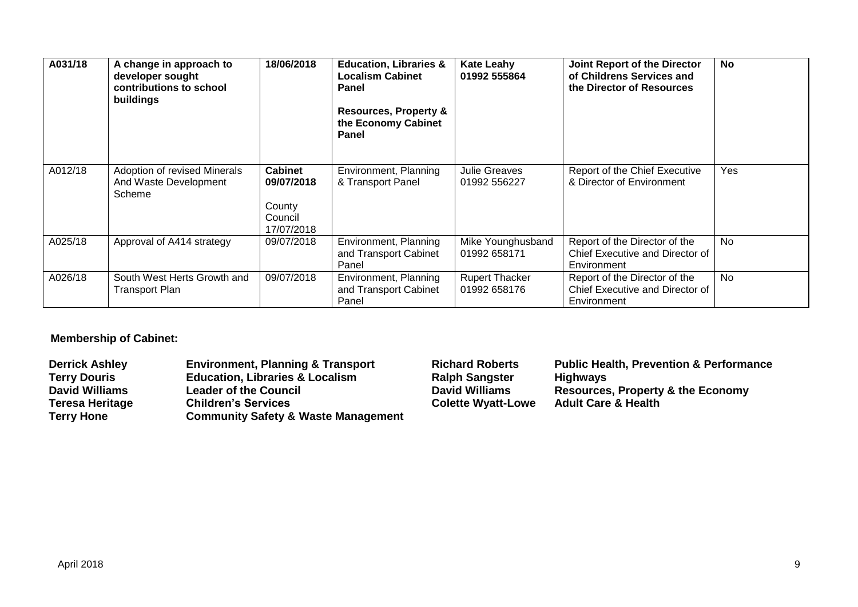| A031/18 | A change in approach to<br>developer sought<br>contributions to school<br>buildings | 18/06/2018                                                      | <b>Education, Libraries &amp;</b><br><b>Localism Cabinet</b><br>Panel<br><b>Resources, Property &amp;</b><br>the Economy Cabinet<br><b>Panel</b> | <b>Kate Leahy</b><br>01992 555864     | Joint Report of the Director<br>of Childrens Services and<br>the Director of Resources | <b>No</b> |
|---------|-------------------------------------------------------------------------------------|-----------------------------------------------------------------|--------------------------------------------------------------------------------------------------------------------------------------------------|---------------------------------------|----------------------------------------------------------------------------------------|-----------|
| A012/18 | Adoption of revised Minerals<br>And Waste Development<br>Scheme                     | <b>Cabinet</b><br>09/07/2018<br>County<br>Council<br>17/07/2018 | Environment, Planning<br>& Transport Panel                                                                                                       | <b>Julie Greaves</b><br>01992 556227  | Report of the Chief Executive<br>& Director of Environment                             | Yes       |
| A025/18 | Approval of A414 strategy                                                           | 09/07/2018                                                      | Environment, Planning<br>and Transport Cabinet<br>Panel                                                                                          | Mike Younghusband<br>01992 658171     | Report of the Director of the<br>Chief Executive and Director of<br>Environment        | <b>No</b> |
| A026/18 | South West Herts Growth and<br><b>Transport Plan</b>                                | 09/07/2018                                                      | Environment, Planning<br>and Transport Cabinet<br>Panel                                                                                          | <b>Rupert Thacker</b><br>01992 658176 | Report of the Director of the<br>Chief Executive and Director of<br>Environment        | <b>No</b> |

**Membership of Cabinet:** 

| <b>Derrick Ashley</b>  | <b>Environment, Planning &amp; Transport</b>   | <b>Richard Roberts</b>    | <b>Public Health, Prevention &amp; Performance</b> |
|------------------------|------------------------------------------------|---------------------------|----------------------------------------------------|
| <b>Terry Douris</b>    | <b>Education, Libraries &amp; Localism</b>     | <b>Ralph Sangster</b>     | <b>Highways</b>                                    |
| <b>David Williams</b>  | <b>Leader of the Council</b>                   | <b>David Williams</b>     | <b>Resources, Property &amp; the Economy</b>       |
| <b>Teresa Heritage</b> | <b>Children's Services</b>                     | <b>Colette Wyatt-Lowe</b> | <b>Adult Care &amp; Health</b>                     |
| <b>Terry Hone</b>      | <b>Community Safety &amp; Waste Management</b> |                           |                                                    |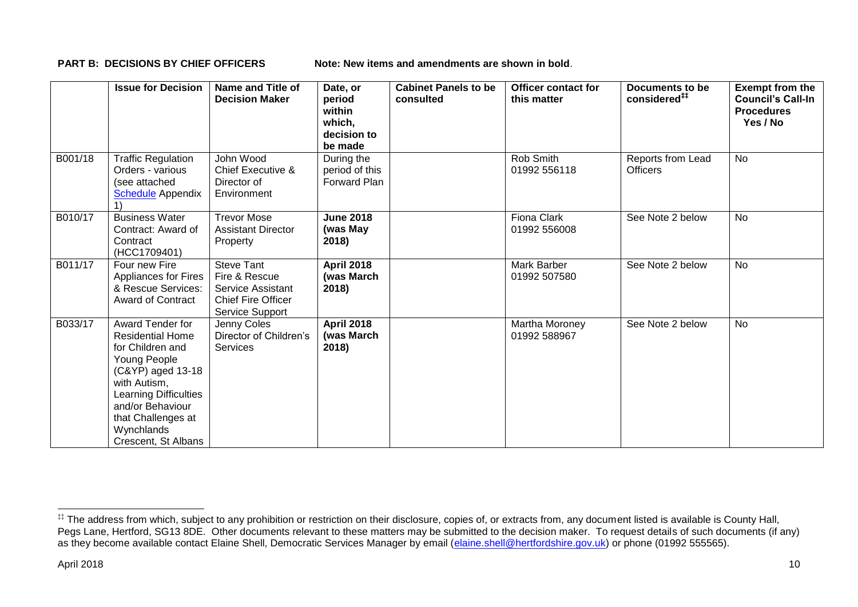**PART B: DECISIONS BY CHIEF OFFICERS Note: New items and amendments are shown in bold.** 

|         | <b>Issue for Decision</b>                                                                                                                                                                                                           | Name and Title of<br><b>Decision Maker</b>                                                              | Date, or<br>period<br>within<br>which,<br>decision to<br>be made | <b>Cabinet Panels to be</b><br>consulted | <b>Officer contact for</b><br>this matter | Documents to be<br>considered <sup>##</sup> | <b>Exempt from the</b><br><b>Council's Call-In</b><br><b>Procedures</b><br>Yes / No |
|---------|-------------------------------------------------------------------------------------------------------------------------------------------------------------------------------------------------------------------------------------|---------------------------------------------------------------------------------------------------------|------------------------------------------------------------------|------------------------------------------|-------------------------------------------|---------------------------------------------|-------------------------------------------------------------------------------------|
| B001/18 | <b>Traffic Regulation</b><br>Orders - various<br>(see attached<br><b>Schedule Appendix</b>                                                                                                                                          | John Wood<br>Chief Executive &<br>Director of<br>Environment                                            | During the<br>period of this<br>Forward Plan                     |                                          | Rob Smith<br>01992 556118                 | Reports from Lead<br><b>Officers</b>        | No                                                                                  |
| B010/17 | <b>Business Water</b><br>Contract: Award of<br>Contract<br>(HCC1709401)                                                                                                                                                             | <b>Trevor Mose</b><br><b>Assistant Director</b><br>Property                                             | <b>June 2018</b><br>(was May<br>2018)                            |                                          | Fiona Clark<br>01992 556008               | See Note 2 below                            | <b>No</b>                                                                           |
| B011/17 | Four new Fire<br><b>Appliances for Fires</b><br>& Rescue Services:<br><b>Award of Contract</b>                                                                                                                                      | <b>Steve Tant</b><br>Fire & Rescue<br>Service Assistant<br><b>Chief Fire Officer</b><br>Service Support | <b>April 2018</b><br>(was March<br>2018)                         |                                          | Mark Barber<br>01992 507580               | See Note 2 below                            | No                                                                                  |
| B033/17 | Award Tender for<br><b>Residential Home</b><br>for Children and<br>Young People<br>(C&YP) aged 13-18<br>with Autism,<br><b>Learning Difficulties</b><br>and/or Behaviour<br>that Challenges at<br>Wynchlands<br>Crescent, St Albans | Jenny Coles<br>Director of Children's<br><b>Services</b>                                                | <b>April 2018</b><br>(was March<br>2018)                         |                                          | Martha Moroney<br>01992 588967            | See Note 2 below                            | No                                                                                  |

1

<sup>‡‡</sup> The address from which, subject to any prohibition or restriction on their disclosure, copies of, or extracts from, any document listed is available is County Hall, Pegs Lane, Hertford, SG13 8DE. Other documents relevant to these matters may be submitted to the decision maker. To request details of such documents (if any) as they become available contact Elaine Shell, Democratic Services Manager by email [\(elaine.shell@hertfordshire.gov.uk\)](mailto:elaine.shell@hertfordshire.gov.uk) or phone (01992 55565).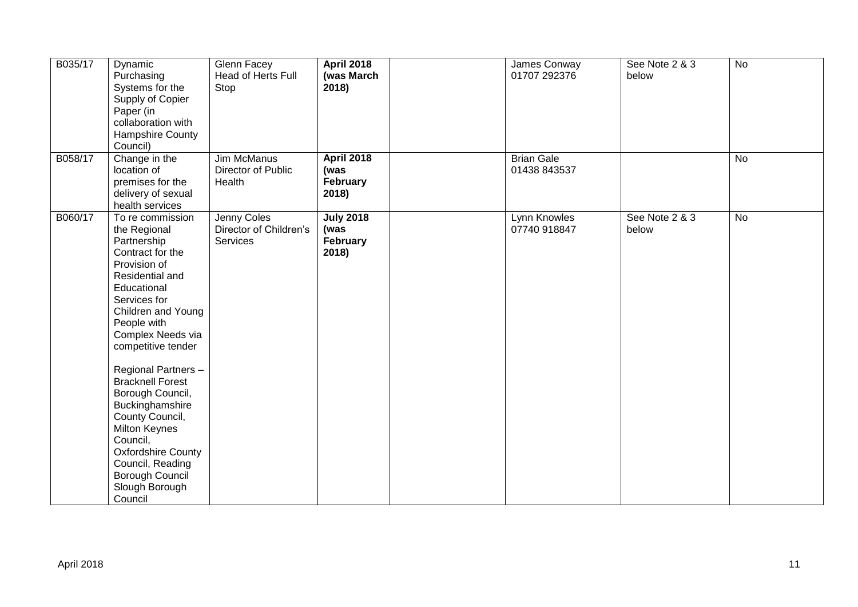| B035/17 | Dynamic<br>Purchasing<br>Systems for the<br>Supply of Copier<br>Paper (in<br>collaboration with<br>Hampshire County<br>Council)                                                                                                                                                                                                                                                                                                                                               | Glenn Facey<br>Head of Herts Full<br>Stop          | <b>April 2018</b><br>(was March<br>2018)       | James Conway<br>01707 292376      | See Note 2 & 3<br>below | No        |
|---------|-------------------------------------------------------------------------------------------------------------------------------------------------------------------------------------------------------------------------------------------------------------------------------------------------------------------------------------------------------------------------------------------------------------------------------------------------------------------------------|----------------------------------------------------|------------------------------------------------|-----------------------------------|-------------------------|-----------|
| B058/17 | Change in the<br>location of<br>premises for the<br>delivery of sexual<br>health services                                                                                                                                                                                                                                                                                                                                                                                     | <b>Jim McManus</b><br>Director of Public<br>Health | <b>April 2018</b><br>(was<br>February<br>2018) | <b>Brian Gale</b><br>01438 843537 |                         | No        |
| B060/17 | To re commission<br>the Regional<br>Partnership<br>Contract for the<br>Provision of<br>Residential and<br>Educational<br>Services for<br>Children and Young<br>People with<br>Complex Needs via<br>competitive tender<br>Regional Partners -<br><b>Bracknell Forest</b><br>Borough Council,<br>Buckinghamshire<br>County Council,<br><b>Milton Keynes</b><br>Council,<br><b>Oxfordshire County</b><br>Council, Reading<br><b>Borough Council</b><br>Slough Borough<br>Council | Jenny Coles<br>Director of Children's<br>Services  | <b>July 2018</b><br>(was<br>February<br>2018)  | Lynn Knowles<br>07740 918847      | See Note 2 & 3<br>below | <b>No</b> |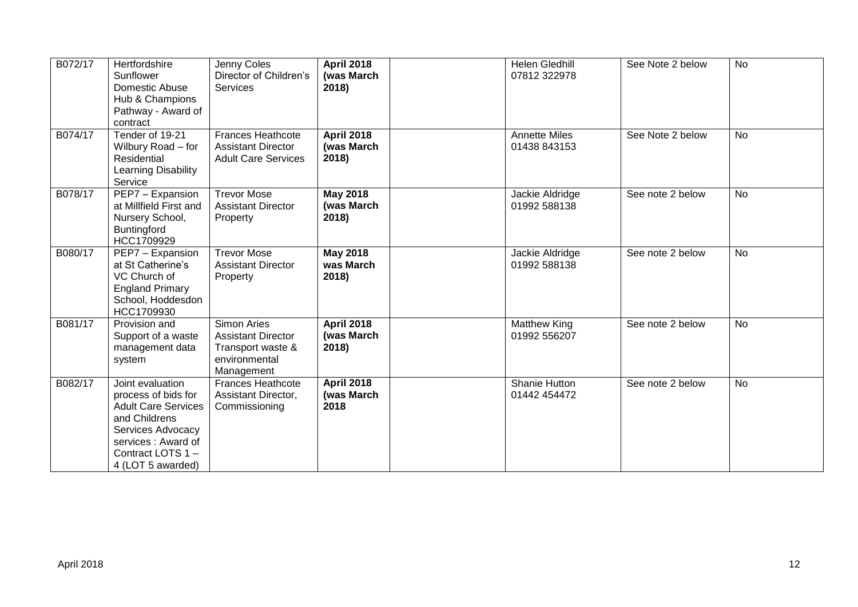| B072/17 | Hertfordshire<br>Sunflower<br>Domestic Abuse<br>Hub & Champions<br>Pathway - Award of<br>contract                                                                           | Jenny Coles<br>Director of Children's<br><b>Services</b>                                     | <b>April 2018</b><br>(was March<br>2018) | Helen Gledhill<br>07812 322978       | See Note 2 below | <b>No</b> |
|---------|-----------------------------------------------------------------------------------------------------------------------------------------------------------------------------|----------------------------------------------------------------------------------------------|------------------------------------------|--------------------------------------|------------------|-----------|
| B074/17 | Tender of 19-21<br>Wilbury Road - for<br>Residential<br>Learning Disability<br>Service                                                                                      | <b>Frances Heathcote</b><br><b>Assistant Director</b><br><b>Adult Care Services</b>          | <b>April 2018</b><br>(was March<br>2018) | <b>Annette Miles</b><br>01438 843153 | See Note 2 below | <b>No</b> |
| B078/17 | PEP7 - Expansion<br>at Millfield First and<br>Nursery School,<br><b>Buntingford</b><br>HCC1709929                                                                           | <b>Trevor Mose</b><br><b>Assistant Director</b><br>Property                                  | <b>May 2018</b><br>(was March<br>2018)   | Jackie Aldridge<br>01992 588138      | See note 2 below | No        |
| B080/17 | PEP7 - Expansion<br>at St Catherine's<br>VC Church of<br><b>England Primary</b><br>School, Hoddesdon<br>HCC1709930                                                          | <b>Trevor Mose</b><br><b>Assistant Director</b><br>Property                                  | <b>May 2018</b><br>was March<br>2018)    | Jackie Aldridge<br>01992 588138      | See note 2 below | <b>No</b> |
| B081/17 | Provision and<br>Support of a waste<br>management data<br>system                                                                                                            | Simon Aries<br><b>Assistant Director</b><br>Transport waste &<br>environmental<br>Management | <b>April 2018</b><br>(was March<br>2018) | Matthew King<br>01992 556207         | See note 2 below | <b>No</b> |
| B082/17 | Joint evaluation<br>process of bids for<br><b>Adult Care Services</b><br>and Childrens<br>Services Advocacy<br>services: Award of<br>Contract LOTS 1 -<br>4 (LOT 5 awarded) | <b>Frances Heathcote</b><br>Assistant Director,<br>Commissioning                             | <b>April 2018</b><br>(was March<br>2018  | Shanie Hutton<br>01442 454472        | See note 2 below | <b>No</b> |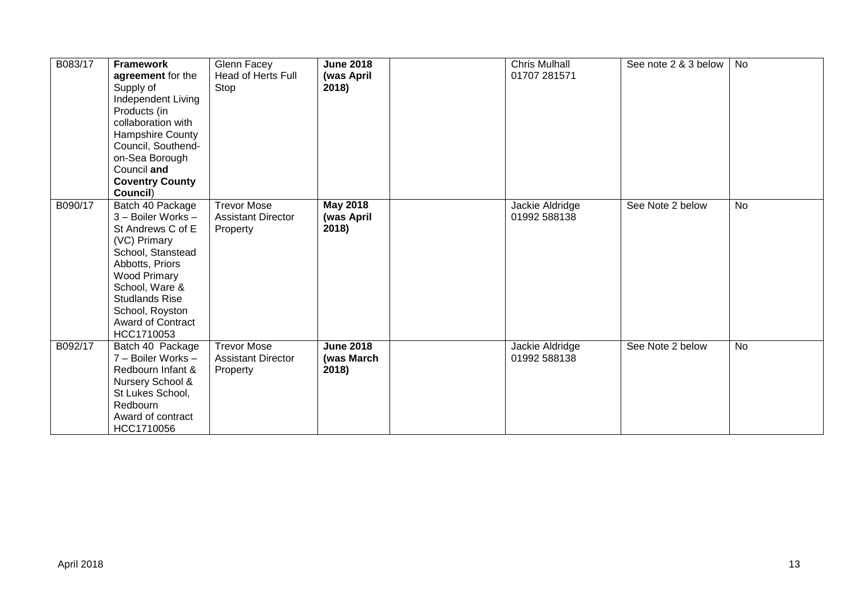| B083/17 | <b>Framework</b><br>agreement for the<br>Supply of<br>Independent Living<br>Products (in<br>collaboration with<br>Hampshire County<br>Council, Southend-<br>on-Sea Borough<br>Council and<br><b>Coventry County</b><br>Council)                    | Glenn Facey<br><b>Head of Herts Full</b><br>Stop            | <b>June 2018</b><br>(was April<br>2018) | <b>Chris Mulhall</b><br>01707 281571 | See note 2 & 3 below | No        |
|---------|----------------------------------------------------------------------------------------------------------------------------------------------------------------------------------------------------------------------------------------------------|-------------------------------------------------------------|-----------------------------------------|--------------------------------------|----------------------|-----------|
| B090/17 | Batch 40 Package<br>3 - Boiler Works -<br>St Andrews C of E<br>(VC) Primary<br>School, Stanstead<br>Abbotts, Priors<br><b>Wood Primary</b><br>School, Ware &<br><b>Studlands Rise</b><br>School, Royston<br><b>Award of Contract</b><br>HCC1710053 | <b>Trevor Mose</b><br><b>Assistant Director</b><br>Property | <b>May 2018</b><br>(was April<br>2018)  | Jackie Aldridge<br>01992 588138      | See Note 2 below     | <b>No</b> |
| B092/17 | Batch 40 Package<br>7 - Boiler Works -<br>Redbourn Infant &<br>Nursery School &<br>St Lukes School,<br>Redbourn<br>Award of contract<br>HCC1710056                                                                                                 | <b>Trevor Mose</b><br><b>Assistant Director</b><br>Property | <b>June 2018</b><br>(was March<br>2018) | Jackie Aldridge<br>01992 588138      | See Note 2 below     | <b>No</b> |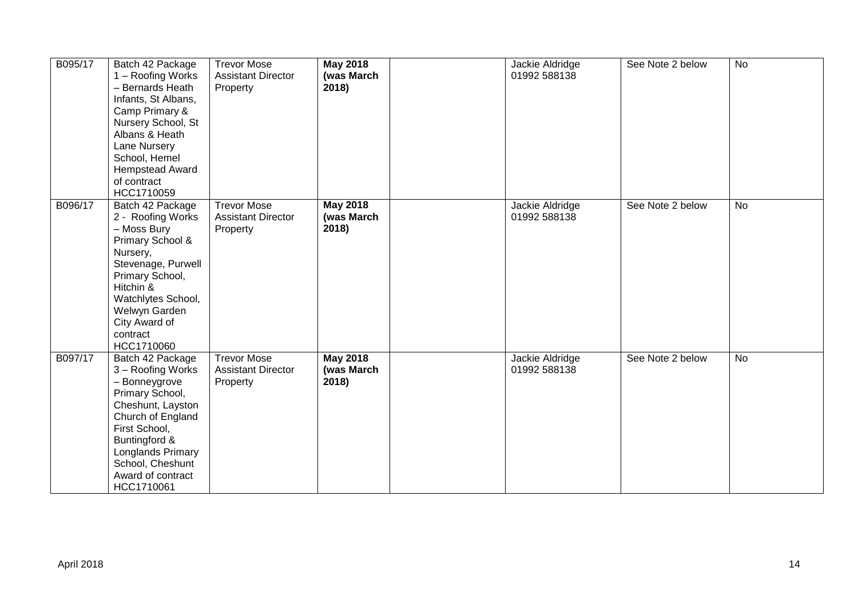| B095/17 | Batch 42 Package<br>1 - Roofing Works<br>- Bernards Heath<br>Infants, St Albans,<br>Camp Primary &<br>Nursery School, St<br>Albans & Heath<br>Lane Nursery<br>School, Hemel<br><b>Hempstead Award</b><br>of contract<br>HCC1710059 | <b>Trevor Mose</b><br><b>Assistant Director</b><br>Property | <b>May 2018</b><br>(was March<br>2018) | Jackie Aldridge<br>01992 588138 | See Note 2 below | <b>No</b> |
|---------|------------------------------------------------------------------------------------------------------------------------------------------------------------------------------------------------------------------------------------|-------------------------------------------------------------|----------------------------------------|---------------------------------|------------------|-----------|
| B096/17 | Batch 42 Package<br>2 - Roofing Works<br>- Moss Bury<br>Primary School &<br>Nursery,<br>Stevenage, Purwell<br>Primary School,<br>Hitchin &<br>Watchlytes School,<br>Welwyn Garden<br>City Award of<br>contract<br>HCC1710060       | <b>Trevor Mose</b><br><b>Assistant Director</b><br>Property | <b>May 2018</b><br>(was March<br>2018) | Jackie Aldridge<br>01992 588138 | See Note 2 below | <b>No</b> |
| B097/17 | Batch 42 Package<br>3 - Roofing Works<br>- Bonneygrove<br>Primary School,<br>Cheshunt, Layston<br>Church of England<br>First School,<br>Buntingford &<br>Longlands Primary<br>School, Cheshunt<br>Award of contract<br>HCC1710061  | <b>Trevor Mose</b><br><b>Assistant Director</b><br>Property | <b>May 2018</b><br>(was March<br>2018) | Jackie Aldridge<br>01992 588138 | See Note 2 below | <b>No</b> |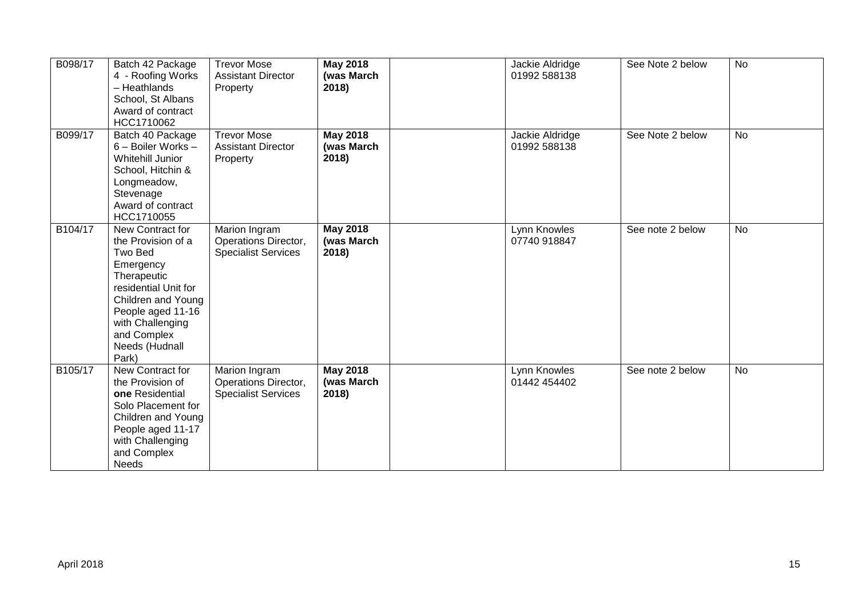| B098/17 | Batch 42 Package<br>4 - Roofing Works<br>- Heathlands<br>School, St Albans<br>Award of contract<br>HCC1710062                                                                                                  | <b>Trevor Mose</b><br><b>Assistant Director</b><br>Property         | <b>May 2018</b><br>(was March<br>2018) | Jackie Aldridge<br>01992 588138 | See Note 2 below | <b>No</b> |
|---------|----------------------------------------------------------------------------------------------------------------------------------------------------------------------------------------------------------------|---------------------------------------------------------------------|----------------------------------------|---------------------------------|------------------|-----------|
| B099/17 | Batch 40 Package<br>6 - Boiler Works -<br><b>Whitehill Junior</b><br>School, Hitchin &<br>Longmeadow,<br>Stevenage<br>Award of contract<br>HCC1710055                                                          | <b>Trevor Mose</b><br><b>Assistant Director</b><br>Property         | <b>May 2018</b><br>(was March<br>2018) | Jackie Aldridge<br>01992 588138 | See Note 2 below | <b>No</b> |
| B104/17 | New Contract for<br>the Provision of a<br>Two Bed<br>Emergency<br>Therapeutic<br>residential Unit for<br>Children and Young<br>People aged 11-16<br>with Challenging<br>and Complex<br>Needs (Hudnall<br>Park) | Marion Ingram<br>Operations Director,<br><b>Specialist Services</b> | <b>May 2018</b><br>(was March<br>2018) | Lynn Knowles<br>07740 918847    | See note 2 below | <b>No</b> |
| B105/17 | New Contract for<br>the Provision of<br>one Residential<br>Solo Placement for<br>Children and Young<br>People aged 11-17<br>with Challenging<br>and Complex<br><b>Needs</b>                                    | Marion Ingram<br>Operations Director,<br><b>Specialist Services</b> | <b>May 2018</b><br>(was March<br>2018) | Lynn Knowles<br>01442 454402    | See note 2 below | <b>No</b> |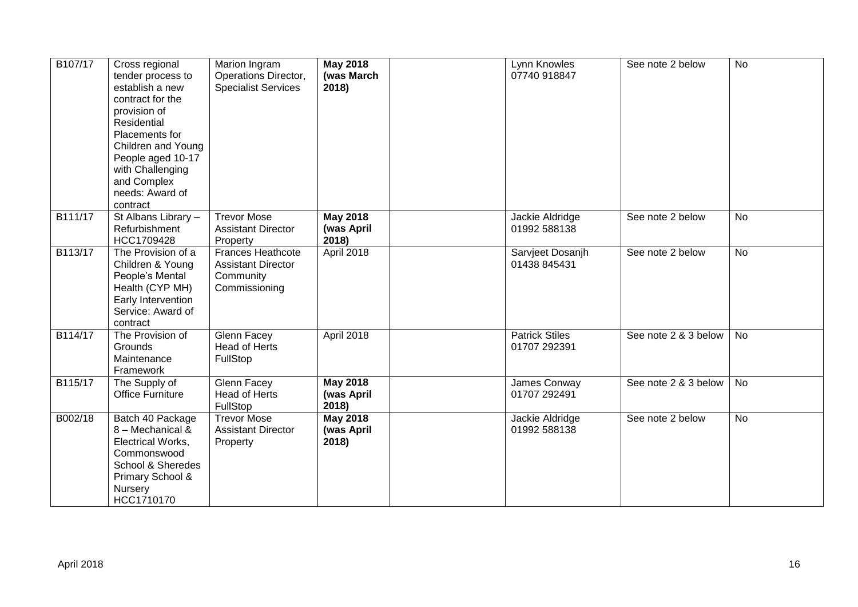| B107/17 | Cross regional<br>tender process to<br>establish a new<br>contract for the<br>provision of<br>Residential<br>Placements for<br>Children and Young<br>People aged 10-17<br>with Challenging<br>and Complex<br>needs: Award of<br>contract | Marion Ingram<br>Operations Director,<br><b>Specialist Services</b>                 | <b>May 2018</b><br>(was March<br>2018) | Lynn Knowles<br>07740 918847          | See note 2 below     | <b>No</b> |
|---------|------------------------------------------------------------------------------------------------------------------------------------------------------------------------------------------------------------------------------------------|-------------------------------------------------------------------------------------|----------------------------------------|---------------------------------------|----------------------|-----------|
| B111/17 | St Albans Library -<br>Refurbishment<br>HCC1709428                                                                                                                                                                                       | <b>Trevor Mose</b><br><b>Assistant Director</b><br>Property                         | <b>May 2018</b><br>(was April<br>2018) | Jackie Aldridge<br>01992 588138       | See note 2 below     | <b>No</b> |
| B113/17 | The Provision of a<br>Children & Young<br>People's Mental<br>Health (CYP MH)<br>Early Intervention<br>Service: Award of<br>contract                                                                                                      | <b>Frances Heathcote</b><br><b>Assistant Director</b><br>Community<br>Commissioning | April 2018                             | Sarvjeet Dosanjh<br>01438 845431      | See note 2 below     | <b>No</b> |
| B114/17 | The Provision of<br>Grounds<br>Maintenance<br>Framework                                                                                                                                                                                  | Glenn Facey<br>Head of Herts<br>FullStop                                            | April 2018                             | <b>Patrick Stiles</b><br>01707 292391 | See note 2 & 3 below | No        |
| B115/17 | The Supply of<br><b>Office Furniture</b>                                                                                                                                                                                                 | Glenn Facey<br>Head of Herts<br>FullStop                                            | <b>May 2018</b><br>(was April<br>2018) | James Conway<br>01707 292491          | See note 2 & 3 below | <b>No</b> |
| B002/18 | Batch 40 Package<br>8 - Mechanical &<br>Electrical Works,<br>Commonswood<br>School & Sheredes<br>Primary School &<br>Nursery<br>HCC1710170                                                                                               | <b>Trevor Mose</b><br><b>Assistant Director</b><br>Property                         | <b>May 2018</b><br>(was April<br>2018) | Jackie Aldridge<br>01992 588138       | See note 2 below     | <b>No</b> |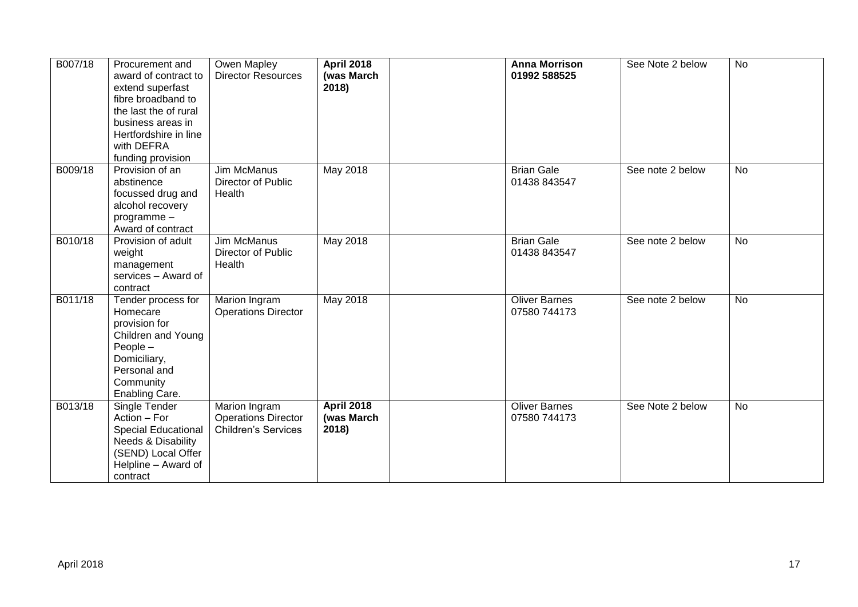| B007/18 | Procurement and<br>award of contract to<br>extend superfast<br>fibre broadband to<br>the last the of rural<br>business areas in<br>Hertfordshire in line<br>with DEFRA<br>funding provision | Owen Mapley<br><b>Director Resources</b>                                  | <b>April 2018</b><br>(was March<br>2018) | <b>Anna Morrison</b><br>01992 588525 | See Note 2 below | <b>No</b> |
|---------|---------------------------------------------------------------------------------------------------------------------------------------------------------------------------------------------|---------------------------------------------------------------------------|------------------------------------------|--------------------------------------|------------------|-----------|
| B009/18 | Provision of an<br>abstinence<br>focussed drug and<br>alcohol recovery<br>programme-<br>Award of contract                                                                                   | Jim McManus<br>Director of Public<br>Health                               | <b>May 2018</b>                          | <b>Brian Gale</b><br>01438 843547    | See note 2 below | <b>No</b> |
| B010/18 | Provision of adult<br>weight<br>management<br>services - Award of<br>contract                                                                                                               | <b>Jim McManus</b><br>Director of Public<br>Health                        | <b>May 2018</b>                          | <b>Brian Gale</b><br>01438 843547    | See note 2 below | <b>No</b> |
| B011/18 | Tender process for<br>Homecare<br>provision for<br>Children and Young<br>People -<br>Domiciliary,<br>Personal and<br>Community<br>Enabling Care.                                            | Marion Ingram<br><b>Operations Director</b>                               | <b>May 2018</b>                          | <b>Oliver Barnes</b><br>07580 744173 | See note 2 below | <b>No</b> |
| B013/18 | <b>Single Tender</b><br>Action - For<br><b>Special Educational</b><br>Needs & Disability<br>(SEND) Local Offer<br>Helpline - Award of<br>contract                                           | Marion Ingram<br><b>Operations Director</b><br><b>Children's Services</b> | <b>April 2018</b><br>(was March<br>2018) | <b>Oliver Barnes</b><br>07580 744173 | See Note 2 below | <b>No</b> |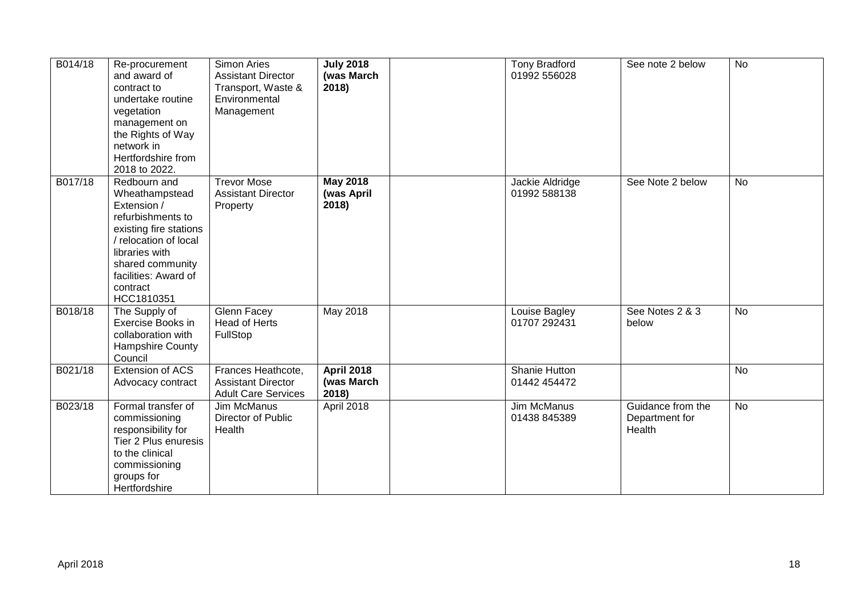| B014/18 | Re-procurement<br>and award of<br>contract to<br>undertake routine<br>vegetation<br>management on<br>the Rights of Way<br>network in<br>Hertfordshire from<br>2018 to 2022.                                   | Simon Aries<br><b>Assistant Director</b><br>Transport, Waste &<br>Environmental<br>Management | <b>July 2018</b><br>(was March<br>2018)  | <b>Tony Bradford</b><br>01992 556028 | See note 2 below                              | <b>No</b>      |
|---------|---------------------------------------------------------------------------------------------------------------------------------------------------------------------------------------------------------------|-----------------------------------------------------------------------------------------------|------------------------------------------|--------------------------------------|-----------------------------------------------|----------------|
| B017/18 | Redbourn and<br>Wheathampstead<br>Extension /<br>refurbishments to<br>existing fire stations<br>/ relocation of local<br>libraries with<br>shared community<br>facilities: Award of<br>contract<br>HCC1810351 | <b>Trevor Mose</b><br><b>Assistant Director</b><br>Property                                   | <b>May 2018</b><br>(was April<br>2018)   | Jackie Aldridge<br>01992 588138      | See Note 2 below                              | <b>No</b>      |
| B018/18 | The Supply of<br>Exercise Books in<br>collaboration with<br>Hampshire County<br>Council                                                                                                                       | <b>Glenn Facey</b><br><b>Head of Herts</b><br>FullStop                                        | <b>May 2018</b>                          | Louise Bagley<br>01707 292431        | See Notes 2 & 3<br>below                      | <b>No</b>      |
| B021/18 | Extension of ACS<br>Advocacy contract                                                                                                                                                                         | Frances Heathcote,<br><b>Assistant Director</b><br><b>Adult Care Services</b>                 | <b>April 2018</b><br>(was March<br>2018) | Shanie Hutton<br>01442 454472        |                                               | <b>No</b>      |
| B023/18 | Formal transfer of<br>commissioning<br>responsibility for<br>Tier 2 Plus enuresis<br>to the clinical<br>commissioning<br>groups for<br>Hertfordshire                                                          | Jim McManus<br>Director of Public<br>Health                                                   | April 2018                               | Jim McManus<br>01438 845389          | Guidance from the<br>Department for<br>Health | $\overline{N}$ |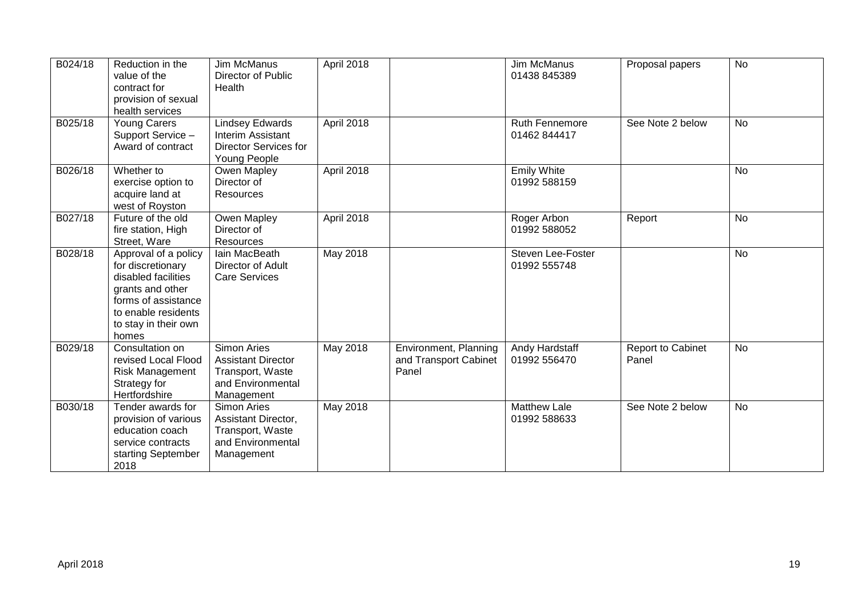| B024/18 | Reduction in the<br>value of the<br>contract for<br>provision of sexual<br>health services                                                                          | Jim McManus<br>Director of Public<br>Health                                                     | April 2018      |                                                         | Jim McManus<br>01438 845389           | Proposal papers            | <b>No</b> |
|---------|---------------------------------------------------------------------------------------------------------------------------------------------------------------------|-------------------------------------------------------------------------------------------------|-----------------|---------------------------------------------------------|---------------------------------------|----------------------------|-----------|
| B025/18 | <b>Young Carers</b><br>Support Service -<br>Award of contract                                                                                                       | <b>Lindsey Edwards</b><br>Interim Assistant<br><b>Director Services for</b><br>Young People     | April 2018      |                                                         | <b>Ruth Fennemore</b><br>01462 844417 | See Note 2 below           | <b>No</b> |
| B026/18 | Whether to<br>exercise option to<br>acquire land at<br>west of Royston                                                                                              | Owen Mapley<br>Director of<br>Resources                                                         | April 2018      |                                                         | <b>Emily White</b><br>01992 588159    |                            | No        |
| B027/18 | Future of the old<br>fire station, High<br>Street, Ware                                                                                                             | Owen Mapley<br>Director of<br><b>Resources</b>                                                  | April 2018      |                                                         | Roger Arbon<br>01992 588052           | Report                     | <b>No</b> |
| B028/18 | Approval of a policy<br>for discretionary<br>disabled facilities<br>grants and other<br>forms of assistance<br>to enable residents<br>to stay in their own<br>homes | Iain MacBeath<br>Director of Adult<br><b>Care Services</b>                                      | <b>May 2018</b> |                                                         | Steven Lee-Foster<br>01992 555748     |                            | <b>No</b> |
| B029/18 | Consultation on<br>revised Local Flood<br>Risk Management<br>Strategy for<br>Hertfordshire                                                                          | Simon Aries<br><b>Assistant Director</b><br>Transport, Waste<br>and Environmental<br>Management | May 2018        | Environment, Planning<br>and Transport Cabinet<br>Panel | Andy Hardstaff<br>01992 556470        | Report to Cabinet<br>Panel | No        |
| B030/18 | Tender awards for<br>provision of various<br>education coach<br>service contracts<br>starting September<br>2018                                                     | Simon Aries<br>Assistant Director,<br>Transport, Waste<br>and Environmental<br>Management       | May 2018        |                                                         | <b>Matthew Lale</b><br>01992 588633   | See Note 2 below           | <b>No</b> |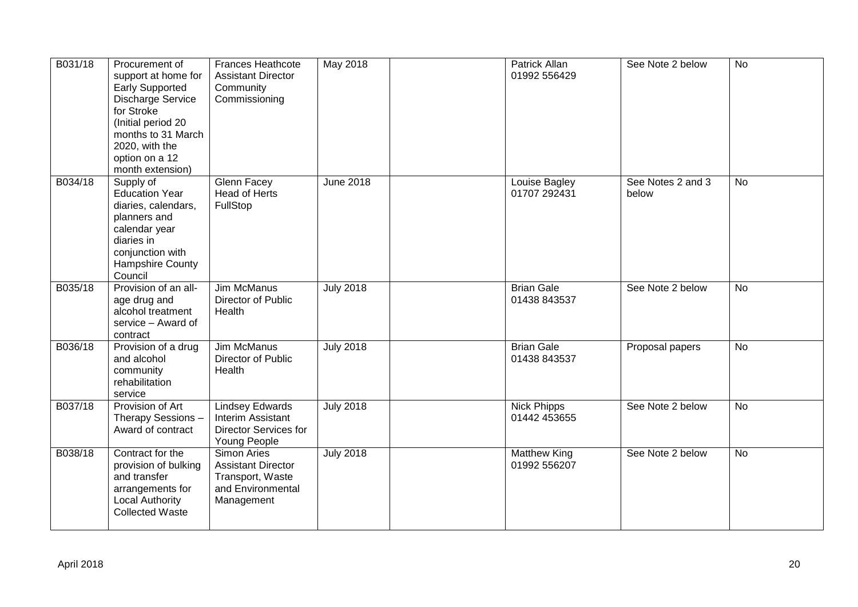| B031/18 | Procurement of<br>support at home for<br><b>Early Supported</b><br>Discharge Service<br>for Stroke<br>(Initial period 20<br>months to 31 March<br>2020, with the<br>option on a 12<br>month extension) | <b>Frances Heathcote</b><br><b>Assistant Director</b><br>Community<br>Commissioning                    | May 2018         | Patrick Allan<br>01992 556429        | See Note 2 below           | <b>No</b>      |
|---------|--------------------------------------------------------------------------------------------------------------------------------------------------------------------------------------------------------|--------------------------------------------------------------------------------------------------------|------------------|--------------------------------------|----------------------------|----------------|
| B034/18 | Supply of<br><b>Education Year</b><br>diaries, calendars,<br>planners and<br>calendar year<br>diaries in<br>conjunction with<br>Hampshire County<br>Council                                            | <b>Glenn Facey</b><br><b>Head of Herts</b><br>FullStop                                                 | <b>June 2018</b> | <b>Louise Bagley</b><br>01707 292431 | See Notes 2 and 3<br>below | $\overline{N}$ |
| B035/18 | Provision of an all-<br>age drug and<br>alcohol treatment<br>service - Award of<br>contract                                                                                                            | <b>Jim McManus</b><br>Director of Public<br>Health                                                     | <b>July 2018</b> | <b>Brian Gale</b><br>01438 843537    | See Note 2 below           | <b>No</b>      |
| B036/18 | Provision of a drug<br>and alcohol<br>community<br>rehabilitation<br>service                                                                                                                           | Jim McManus<br>Director of Public<br>Health                                                            | <b>July 2018</b> | <b>Brian Gale</b><br>01438 843537    | Proposal papers            | <b>No</b>      |
| B037/18 | Provision of Art<br>Therapy Sessions -<br>Award of contract                                                                                                                                            | <b>Lindsey Edwards</b><br>Interim Assistant<br><b>Director Services for</b><br>Young People            | <b>July 2018</b> | <b>Nick Phipps</b><br>01442 453655   | See Note 2 below           | <b>No</b>      |
| B038/18 | Contract for the<br>provision of bulking<br>and transfer<br>arrangements for<br><b>Local Authority</b><br><b>Collected Waste</b>                                                                       | <b>Simon Aries</b><br><b>Assistant Director</b><br>Transport, Waste<br>and Environmental<br>Management | <b>July 2018</b> | <b>Matthew King</b><br>01992 556207  | See Note 2 below           | $\overline{N}$ |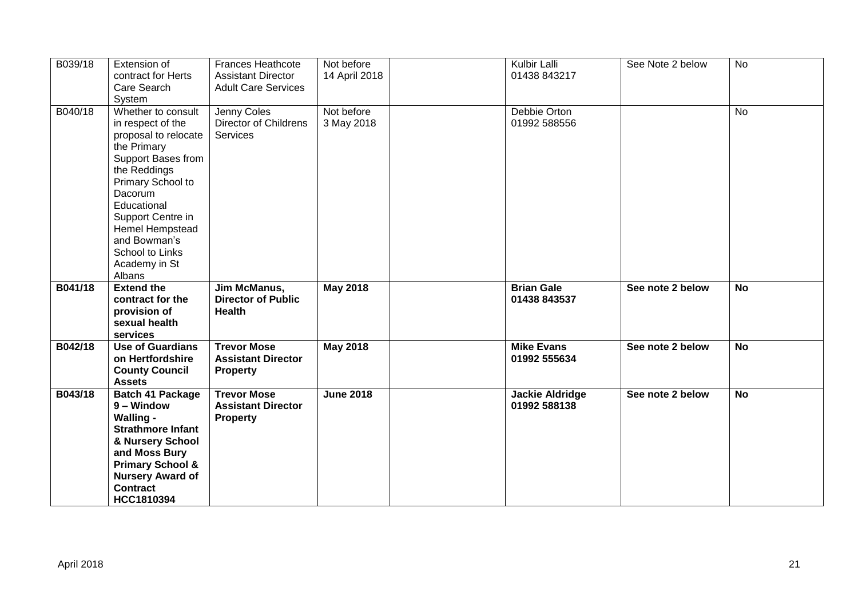| B039/18 | Extension of<br>contract for Herts<br>Care Search<br>System                                                                                                                                                                                                               | <b>Frances Heathcote</b><br><b>Assistant Director</b><br><b>Adult Care Services</b> | Not before<br>14 April 2018 | Kulbir Lalli<br>01438 843217           | See Note 2 below | <b>No</b> |
|---------|---------------------------------------------------------------------------------------------------------------------------------------------------------------------------------------------------------------------------------------------------------------------------|-------------------------------------------------------------------------------------|-----------------------------|----------------------------------------|------------------|-----------|
| B040/18 | Whether to consult<br>in respect of the<br>proposal to relocate<br>the Primary<br>Support Bases from<br>the Reddings<br>Primary School to<br>Dacorum<br>Educational<br>Support Centre in<br>Hemel Hempstead<br>and Bowman's<br>School to Links<br>Academy in St<br>Albans | Jenny Coles<br><b>Director of Childrens</b><br>Services                             | Not before<br>3 May 2018    | Debbie Orton<br>01992 588556           |                  | <b>No</b> |
| B041/18 | <b>Extend the</b><br>contract for the<br>provision of<br>sexual health<br>services                                                                                                                                                                                        | Jim McManus,<br><b>Director of Public</b><br><b>Health</b>                          | <b>May 2018</b>             | <b>Brian Gale</b><br>01438 843537      | See note 2 below | <b>No</b> |
| B042/18 | <b>Use of Guardians</b><br>on Hertfordshire<br><b>County Council</b><br><b>Assets</b>                                                                                                                                                                                     | <b>Trevor Mose</b><br><b>Assistant Director</b><br><b>Property</b>                  | <b>May 2018</b>             | <b>Mike Evans</b><br>01992 555634      | See note 2 below | <b>No</b> |
| B043/18 | Batch 41 Package<br>9 - Window<br>Walling -<br><b>Strathmore Infant</b><br>& Nursery School<br>and Moss Bury<br><b>Primary School &amp;</b><br><b>Nursery Award of</b><br><b>Contract</b><br>HCC1810394                                                                   | <b>Trevor Mose</b><br><b>Assistant Director</b><br><b>Property</b>                  | <b>June 2018</b>            | <b>Jackie Aldridge</b><br>01992 588138 | See note 2 below | <b>No</b> |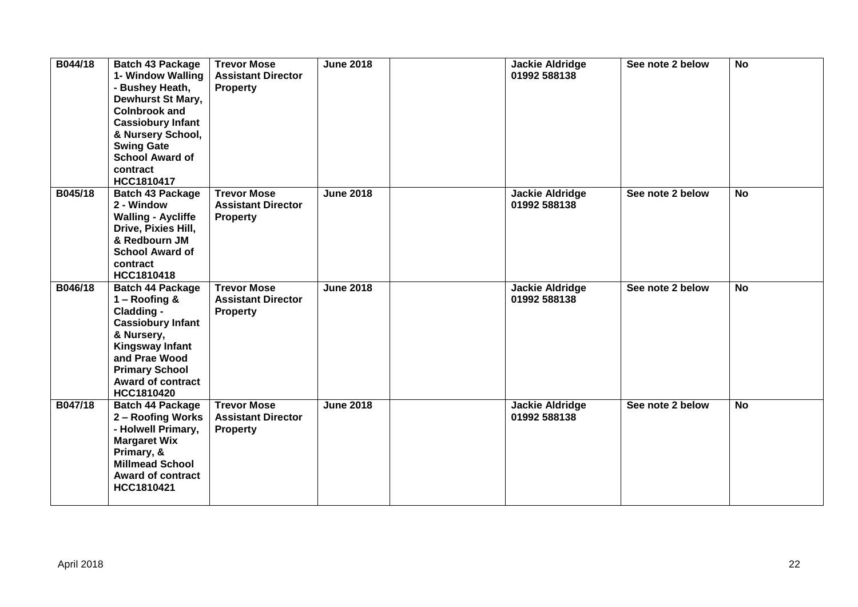| B044/18 | <b>Batch 43 Package</b><br>1- Window Walling<br>- Bushey Heath,<br>Dewhurst St Mary,<br><b>Colnbrook and</b><br><b>Cassiobury Infant</b><br>& Nursery School,<br><b>Swing Gate</b><br><b>School Award of</b><br>contract<br>HCC1810417 | <b>Trevor Mose</b><br><b>Assistant Director</b><br><b>Property</b> | <b>June 2018</b> | <b>Jackie Aldridge</b><br>01992 588138 | See note 2 below | <b>No</b> |
|---------|----------------------------------------------------------------------------------------------------------------------------------------------------------------------------------------------------------------------------------------|--------------------------------------------------------------------|------------------|----------------------------------------|------------------|-----------|
| B045/18 | <b>Batch 43 Package</b><br>2 - Window<br><b>Walling - Aycliffe</b><br>Drive, Pixies Hill,<br>& Redbourn JM<br><b>School Award of</b><br>contract<br>HCC1810418                                                                         | <b>Trevor Mose</b><br><b>Assistant Director</b><br><b>Property</b> | <b>June 2018</b> | <b>Jackie Aldridge</b><br>01992 588138 | See note 2 below | <b>No</b> |
| B046/18 | <b>Batch 44 Package</b><br>$1 -$ Roofing &<br>Cladding -<br><b>Cassiobury Infant</b><br>& Nursery,<br><b>Kingsway Infant</b><br>and Prae Wood<br><b>Primary School</b><br><b>Award of contract</b><br>HCC1810420                       | <b>Trevor Mose</b><br><b>Assistant Director</b><br><b>Property</b> | <b>June 2018</b> | <b>Jackie Aldridge</b><br>01992 588138 | See note 2 below | <b>No</b> |
| B047/18 | <b>Batch 44 Package</b><br>2 - Roofing Works<br>- Holwell Primary,<br><b>Margaret Wix</b><br>Primary, &<br><b>Millmead School</b><br><b>Award of contract</b><br>HCC1810421                                                            | <b>Trevor Mose</b><br><b>Assistant Director</b><br><b>Property</b> | <b>June 2018</b> | <b>Jackie Aldridge</b><br>01992 588138 | See note 2 below | <b>No</b> |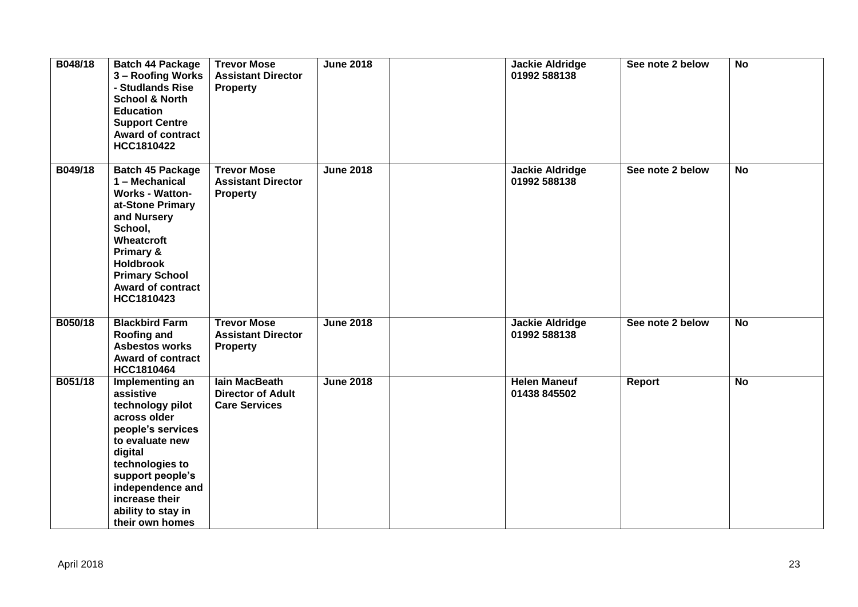| B048/18 | <b>Batch 44 Package</b><br>3 - Roofing Works<br>- Studlands Rise<br><b>School &amp; North</b><br><b>Education</b><br><b>Support Centre</b><br>Award of contract<br>HCC1810422                                                             | <b>Trevor Mose</b><br><b>Assistant Director</b><br><b>Property</b> | <b>June 2018</b> | <b>Jackie Aldridge</b><br>01992 588138 | See note 2 below | <b>No</b>      |
|---------|-------------------------------------------------------------------------------------------------------------------------------------------------------------------------------------------------------------------------------------------|--------------------------------------------------------------------|------------------|----------------------------------------|------------------|----------------|
| B049/18 | <b>Batch 45 Package</b><br>1 - Mechanical<br><b>Works - Watton-</b><br>at-Stone Primary<br>and Nursery<br>School,<br>Wheatcroft<br>Primary &<br><b>Holdbrook</b><br><b>Primary School</b><br><b>Award of contract</b><br>HCC1810423       | <b>Trevor Mose</b><br><b>Assistant Director</b><br>Property        | <b>June 2018</b> | <b>Jackie Aldridge</b><br>01992 588138 | See note 2 below | <b>No</b>      |
| B050/18 | <b>Blackbird Farm</b><br><b>Roofing and</b><br><b>Asbestos works</b><br><b>Award of contract</b><br>HCC1810464                                                                                                                            | <b>Trevor Mose</b><br><b>Assistant Director</b><br><b>Property</b> | <b>June 2018</b> | <b>Jackie Aldridge</b><br>01992 588138 | See note 2 below | $\overline{N}$ |
| B051/18 | Implementing an<br>assistive<br>technology pilot<br>across older<br>people's services<br>to evaluate new<br>digital<br>technologies to<br>support people's<br>independence and<br>increase their<br>ability to stay in<br>their own homes | lain MacBeath<br><b>Director of Adult</b><br><b>Care Services</b>  | <b>June 2018</b> | <b>Helen Maneuf</b><br>01438 845502    | Report           | <b>No</b>      |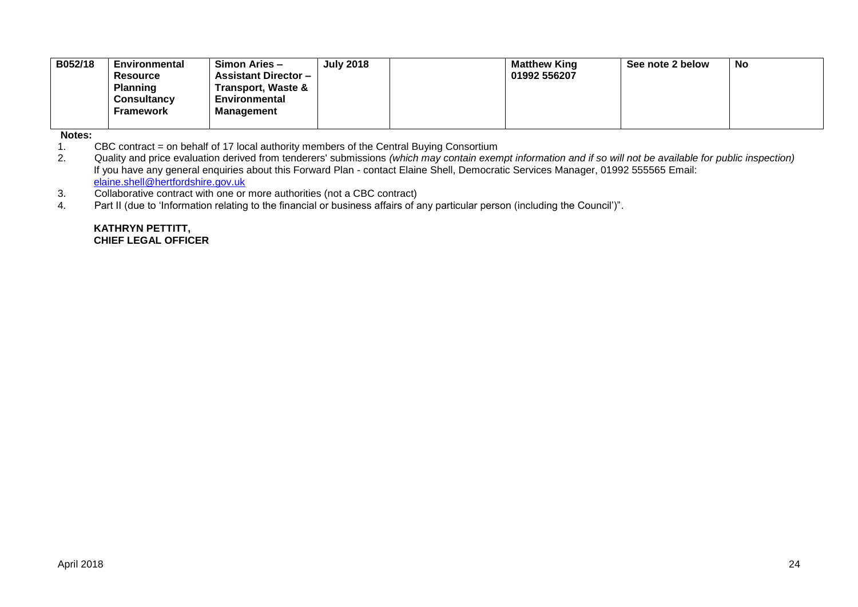| B052/18<br><b>Environmental</b><br><b>Resource</b>        | Simon Aries -<br><b>Assistant Director -</b>                    | <b>July 2018</b> | <b>Matthew King</b><br>01992 556207 | See note 2 below | <b>No</b> |
|-----------------------------------------------------------|-----------------------------------------------------------------|------------------|-------------------------------------|------------------|-----------|
| <b>Planning</b><br><b>Consultancy</b><br><b>Framework</b> | Transport, Waste &<br><b>Environmental</b><br><b>Management</b> |                  |                                     |                  |           |

**Notes:** 

1. CBC contract = on behalf of 17 local authority members of the Central Buying Consortium<br>2. Quality and price evaluation derived from tenderers' submissions (which may contain exen

2. Quality and price evaluation derived from tenderers' submissions *(which may contain exempt information and if so will not be available for public inspection)* If you have any general enquiries about this Forward Plan - contact Elaine Shell, Democratic Services Manager, 01992 555565 Email: [elaine.shell@hertfordshire.gov.uk](mailto:elaine.shell@hertfordshire.gov.uk) 

3. Collaborative contract with one or more authorities (not a CBC contract)<br>4. Part II (due to 'Information relating to the financial or business affairs of a

Part II (due to 'Information relating to the financial or business affairs of any particular person (including the Council')".

**KATHRYN PETTITT, CHIEF LEGAL OFFICER**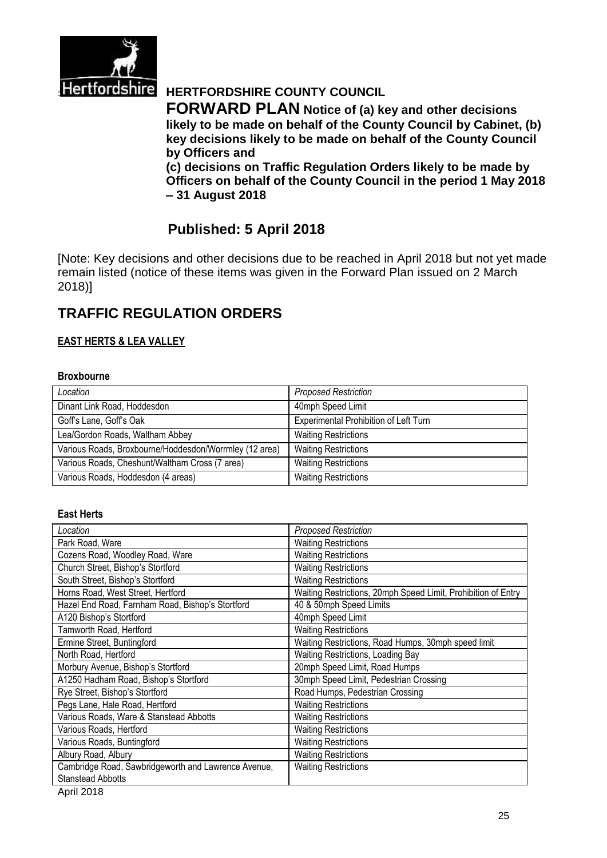

# **Hertfordshire** HERTFORDSHIRE COUNTY COUNCIL

**FORWARD PLAN Notice of (a) key and other decisions likely to be made on behalf of the County Council by Cabinet, (b) key decisions likely to be made on behalf of the County Council by Officers and** 

**(c) decisions on Traffic Regulation Orders likely to be made by Officers on behalf of the County Council in the period 1 May 2018 – 31 August 2018**

## **Published: 5 April 2018**

[Note: Key decisions and other decisions due to be reached in April 2018 but not yet made remain listed (notice of these items was given in the Forward Plan issued on 2 March 2018)]

## **TRAFFIC REGULATION ORDERS**

### **EAST HERTS & LEA VALLEY**

#### **Broxbourne**

| Location                                               | <b>Proposed Restriction</b>           |
|--------------------------------------------------------|---------------------------------------|
|                                                        |                                       |
| Dinant Link Road, Hoddesdon                            | 40mph Speed Limit                     |
|                                                        |                                       |
| Goff's Lane, Goff's Oak                                | Experimental Prohibition of Left Turn |
|                                                        |                                       |
| Lea/Gordon Roads, Waltham Abbey                        | <b>Waiting Restrictions</b>           |
|                                                        |                                       |
| Various Roads, Broxbourne/Hoddesdon/Worrmley (12 area) | <b>Waiting Restrictions</b>           |
|                                                        |                                       |
|                                                        |                                       |
| Various Roads, Cheshunt/Waltham Cross (7 area)         | <b>Waiting Restrictions</b>           |
|                                                        |                                       |
| Various Roads, Hoddesdon (4 areas)                     | <b>Waiting Restrictions</b>           |

#### **East Herts**

| Location                                                                        | <b>Proposed Restriction</b>                                   |
|---------------------------------------------------------------------------------|---------------------------------------------------------------|
| Park Road, Ware                                                                 | <b>Waiting Restrictions</b>                                   |
| Cozens Road, Woodley Road, Ware                                                 | <b>Waiting Restrictions</b>                                   |
| Church Street, Bishop's Stortford                                               | <b>Waiting Restrictions</b>                                   |
| South Street, Bishop's Stortford                                                | <b>Waiting Restrictions</b>                                   |
| Horns Road, West Street, Hertford                                               | Waiting Restrictions, 20mph Speed Limit, Prohibition of Entry |
| Hazel End Road, Farnham Road, Bishop's Stortford                                | 40 & 50mph Speed Limits                                       |
| A120 Bishop's Stortford                                                         | 40mph Speed Limit                                             |
| Tamworth Road, Hertford                                                         | <b>Waiting Restrictions</b>                                   |
| Ermine Street, Buntingford                                                      | Waiting Restrictions, Road Humps, 30mph speed limit           |
| North Road, Hertford                                                            | Waiting Restrictions, Loading Bay                             |
| Morbury Avenue, Bishop's Stortford                                              | 20mph Speed Limit, Road Humps                                 |
| A1250 Hadham Road, Bishop's Stortford                                           | 30mph Speed Limit, Pedestrian Crossing                        |
| Rye Street, Bishop's Stortford                                                  | Road Humps, Pedestrian Crossing                               |
| Pegs Lane, Hale Road, Hertford                                                  | <b>Waiting Restrictions</b>                                   |
| Various Roads, Ware & Stanstead Abbotts                                         | <b>Waiting Restrictions</b>                                   |
| Various Roads, Hertford                                                         | <b>Waiting Restrictions</b>                                   |
| Various Roads, Buntingford                                                      | <b>Waiting Restrictions</b>                                   |
| Albury Road, Albury                                                             | <b>Waiting Restrictions</b>                                   |
| Cambridge Road, Sawbridgeworth and Lawrence Avenue,<br><b>Stanstead Abbotts</b> | <b>Waiting Restrictions</b>                                   |

April 2018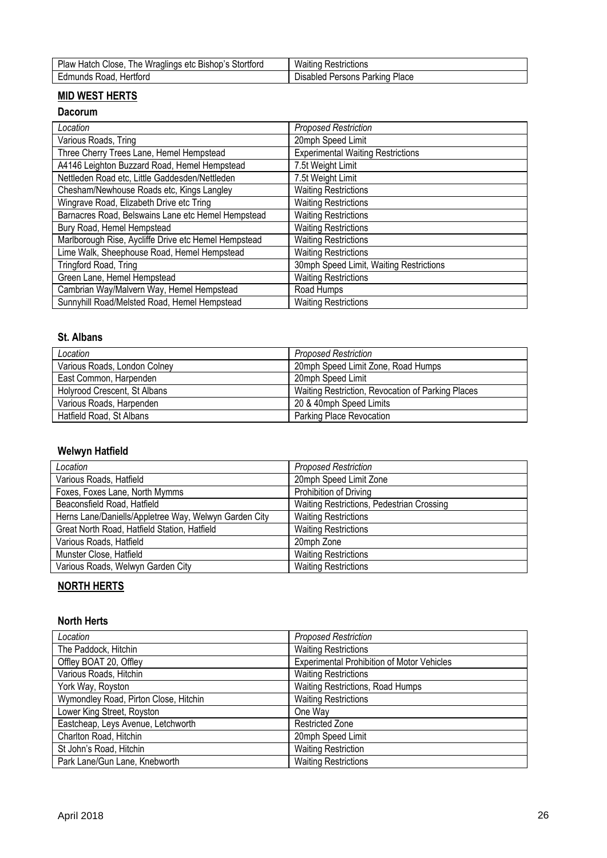| Plaw<br>Stortford<br>Wraglings<br>Close.<br>'he<br>etc Bishop<br>Hatch | Waiting R<br>Restrictions                 |
|------------------------------------------------------------------------|-------------------------------------------|
| <b>Edmunds</b><br>Hertford<br>Road.                                    | Place<br>Disabled '<br>Persons<br>Parking |

## **MID WEST HERTS**

#### **Dacorum**

| Location                                             | <b>Proposed Restriction</b>              |
|------------------------------------------------------|------------------------------------------|
| Various Roads, Tring                                 | 20mph Speed Limit                        |
| Three Cherry Trees Lane, Hemel Hempstead             | <b>Experimental Waiting Restrictions</b> |
| A4146 Leighton Buzzard Road, Hemel Hempstead         | 7.5t Weight Limit                        |
| Nettleden Road etc, Little Gaddesden/Nettleden       | 7.5t Weight Limit                        |
| Chesham/Newhouse Roads etc, Kings Langley            | <b>Waiting Restrictions</b>              |
| Wingrave Road, Elizabeth Drive etc Tring             | <b>Waiting Restrictions</b>              |
| Barnacres Road, Belswains Lane etc Hemel Hempstead   | <b>Waiting Restrictions</b>              |
| Bury Road, Hemel Hempstead                           | <b>Waiting Restrictions</b>              |
| Marlborough Rise, Aycliffe Drive etc Hemel Hempstead | <b>Waiting Restrictions</b>              |
| Lime Walk, Sheephouse Road, Hemel Hempstead          | <b>Waiting Restrictions</b>              |
| Tringford Road, Tring                                | 30mph Speed Limit, Waiting Restrictions  |
| Green Lane, Hemel Hempstead                          | <b>Waiting Restrictions</b>              |
| Cambrian Way/Malvern Way, Hemel Hempstead            | Road Humps                               |
| Sunnyhill Road/Melsted Road, Hemel Hempstead         | <b>Waiting Restrictions</b>              |

#### **St. Albans**

| Location                     | <b>Proposed Restriction</b>                       |
|------------------------------|---------------------------------------------------|
| Various Roads, London Colney | 20mph Speed Limit Zone, Road Humps                |
| East Common, Harpenden       | 20mph Speed Limit                                 |
| Holyrood Crescent, St Albans | Waiting Restriction, Revocation of Parking Places |
| Various Roads, Harpenden     | 20 & 40mph Speed Limits                           |
| Hatfield Road, St Albans     | <b>Parking Place Revocation</b>                   |

### **Welwyn Hatfield**

| Location                                              | <b>Proposed Restriction</b>               |
|-------------------------------------------------------|-------------------------------------------|
| Various Roads, Hatfield                               | 20mph Speed Limit Zone                    |
| Foxes, Foxes Lane, North Mymms                        | Prohibition of Driving                    |
| Beaconsfield Road, Hatfield                           | Waiting Restrictions, Pedestrian Crossing |
| Herns Lane/Daniells/Appletree Way, Welwyn Garden City | <b>Waiting Restrictions</b>               |
| Great North Road, Hatfield Station, Hatfield          | <b>Waiting Restrictions</b>               |
| Various Roads, Hatfield                               | 20mph Zone                                |
| Munster Close, Hatfield                               | <b>Waiting Restrictions</b>               |
| Various Roads, Welwyn Garden City                     | <b>Waiting Restrictions</b>               |

## **NORTH HERTS**

#### **North Herts**

| Location                              | <b>Proposed Restriction</b>                       |
|---------------------------------------|---------------------------------------------------|
| The Paddock, Hitchin                  | <b>Waiting Restrictions</b>                       |
| Offley BOAT 20, Offley                | <b>Experimental Prohibition of Motor Vehicles</b> |
| Various Roads, Hitchin                | <b>Waiting Restrictions</b>                       |
| York Way, Royston                     | Waiting Restrictions, Road Humps                  |
| Wymondley Road, Pirton Close, Hitchin | <b>Waiting Restrictions</b>                       |
| Lower King Street, Royston            | One Way                                           |
| Eastcheap, Leys Avenue, Letchworth    | <b>Restricted Zone</b>                            |
| Charlton Road, Hitchin                | 20mph Speed Limit                                 |
| St John's Road, Hitchin               | <b>Waiting Restriction</b>                        |
| Park Lane/Gun Lane, Knebworth         | <b>Waiting Restrictions</b>                       |